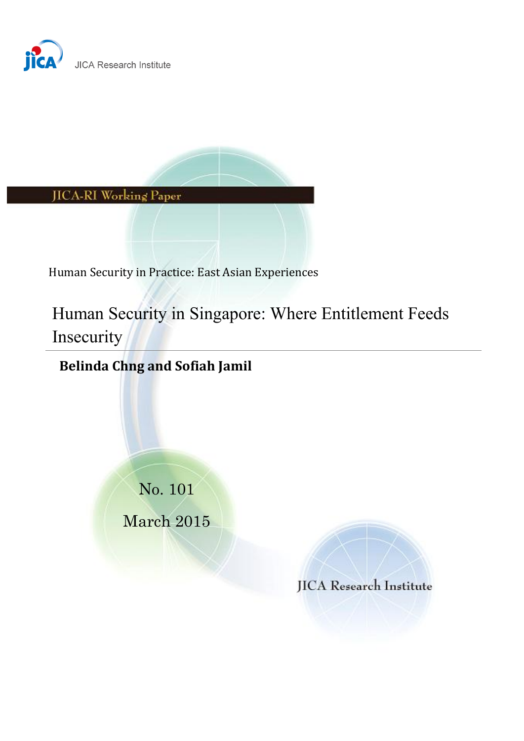



Human Security in Practice: East Asian Experiences

Human Security in Singapore: Where Entitlement Feeds Insecurity

# **Belinda Chng and Sofiah Jamil**

No. 101 March 2015

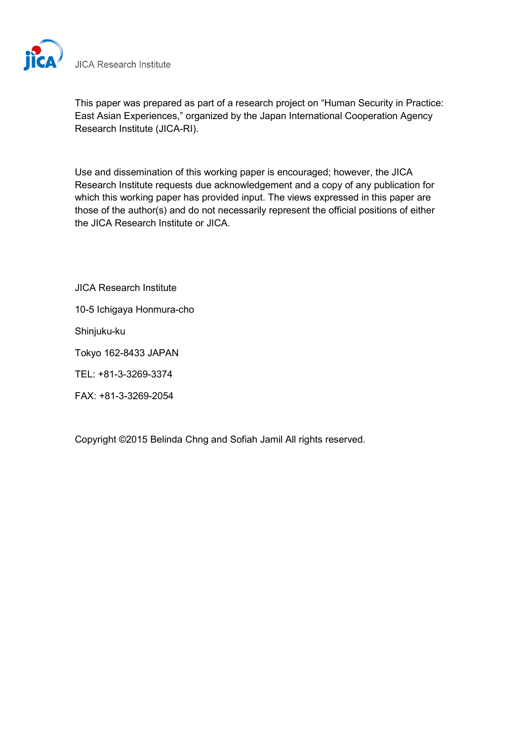

**JICA Research Institute** 

This paper was prepared as part of a research project on "Human Security in Practice: East Asian Experiences," organized by the Japan International Cooperation Agency Research Institute (JICA-RI).

Use and dissemination of this working paper is encouraged; however, the JICA Research Institute requests due acknowledgement and a copy of any publication for which this working paper has provided input. The views expressed in this paper are those of the author(s) and do not necessarily represent the official positions of either the JICA Research Institute or JICA.

JICA Research Institute

10-5 Ichigaya Honmura-cho

Shinjuku-ku

Tokyo 162-8433 JAPAN

TEL: +81-3-3269-3374

FAX: +81-3-3269-2054

Copyright ©2015 Belinda Chng and Sofiah Jamil All rights reserved.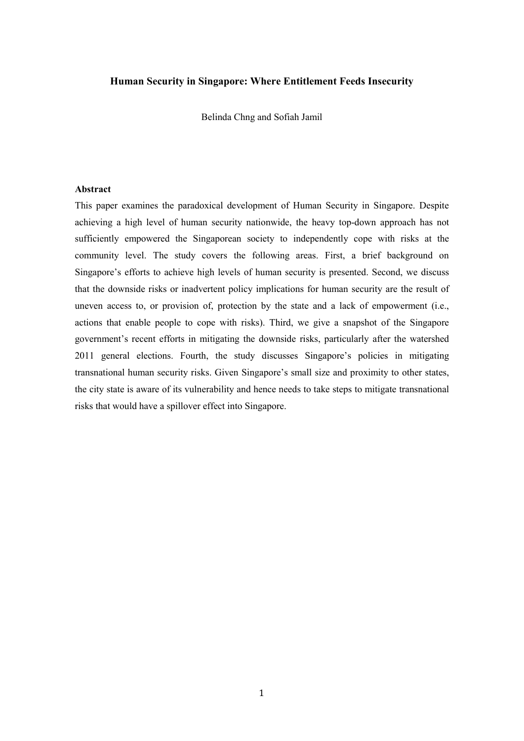#### **Human Security in Singapore: Where Entitlement Feeds Insecurity**

Belinda Chng and Sofiah Jamil

# **Abstract**

This paper examines the paradoxical development of Human Security in Singapore. Despite achieving a high level of human security nationwide, the heavy top-down approach has not sufficiently empowered the Singaporean society to independently cope with risks at the community level. The study covers the following areas. First, a brief background on Singapore's efforts to achieve high levels of human security is presented. Second, we discuss that the downside risks or inadvertent policy implications for human security are the result of uneven access to, or provision of, protection by the state and a lack of empowerment (i.e., actions that enable people to cope with risks). Third, we give a snapshot of the Singapore government's recent efforts in mitigating the downside risks, particularly after the watershed 2011 general elections. Fourth, the study discusses Singapore's policies in mitigating transnational human security risks. Given Singapore's small size and proximity to other states, the city state is aware of its vulnerability and hence needs to take steps to mitigate transnational risks that would have a spillover effect into Singapore.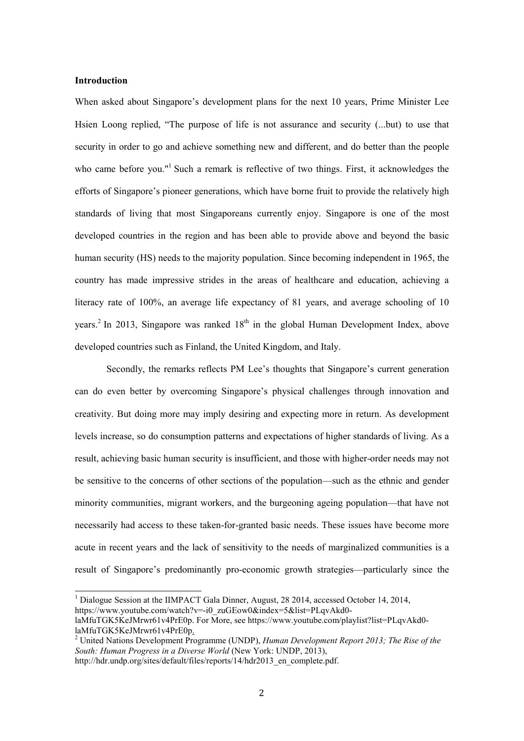#### **Introduction**

-

When asked about Singapore's development plans for the next 10 years, Prime Minister Lee Hsien Loong replied, "The purpose of life is not assurance and security (...but) to use that security in order to go and achieve something new and different, and do better than the people who came before you."<sup>1</sup> Such a remark is reflective of two things. First, it acknowledges the efforts of Singapore's pioneer generations, which have borne fruit to provide the relatively high standards of living that most Singaporeans currently enjoy. Singapore is one of the most developed countries in the region and has been able to provide above and beyond the basic human security (HS) needs to the majority population. Since becoming independent in 1965, the country has made impressive strides in the areas of healthcare and education, achieving a literacy rate of 100%, an average life expectancy of 81 years, and average schooling of 10 years.<sup>2</sup> In 2013, Singapore was ranked  $18<sup>th</sup>$  in the global Human Development Index, above developed countries such as Finland, the United Kingdom, and Italy.

Secondly, the remarks reflects PM Lee's thoughts that Singapore's current generation can do even better by overcoming Singapore's physical challenges through innovation and creativity. But doing more may imply desiring and expecting more in return. As development levels increase, so do consumption patterns and expectations of higher standards of living. As a result, achieving basic human security is insufficient, and those with higher-order needs may not be sensitive to the concerns of other sections of the population—such as the ethnic and gender minority communities, migrant workers, and the burgeoning ageing population—that have not necessarily had access to these taken-for-granted basic needs. These issues have become more acute in recent years and the lack of sensitivity to the needs of marginalized communities is a result of Singapore's predominantly pro-economic growth strategies—particularly since the

<sup>&</sup>lt;sup>1</sup> Dialogue Session at the IIMPACT Gala Dinner, August, 28 2014, accessed October 14, 2014, https://www.youtube.com/watch?v=-i0\_zuGEow0&index=5&list=PLqvAkd0laMfuTGK5KeJMrwr61v4PrE0p. For More, see https://www.youtube.com/playlist?list=PLqvAkd0 laMfuTGK5KeJMrwr61v4PrE0p.

United Nations Development Programme (UNDP), *Human Development Report 2013; The Rise of the South: Human Progress in a Diverse World* (New York: UNDP, 2013),

http://hdr.undp.org/sites/default/files/reports/14/hdr2013\_en\_complete.pdf.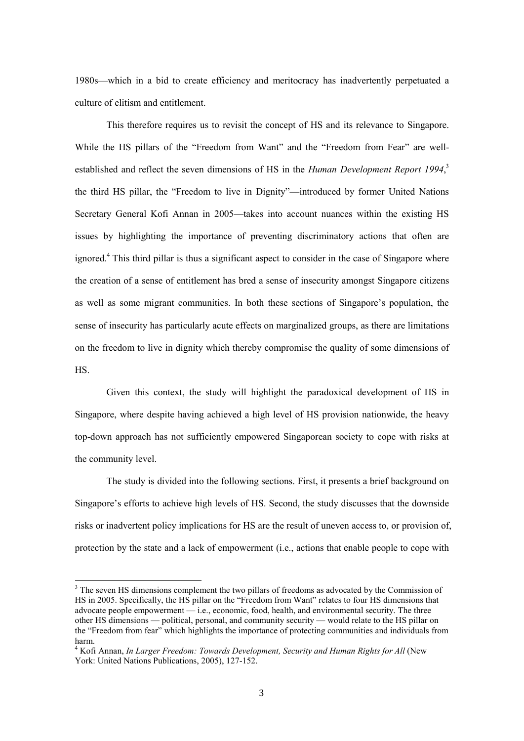1980s—which in a bid to create efficiency and meritocracy has inadvertently perpetuated a culture of elitism and entitlement.

This therefore requires us to revisit the concept of HS and its relevance to Singapore. While the HS pillars of the "Freedom from Want" and the "Freedom from Fear" are wellestablished and reflect the seven dimensions of HS in the *Human Development Report 1994*, 3 the third HS pillar, the "Freedom to live in Dignity"—introduced by former United Nations Secretary General Kofi Annan in 2005—takes into account nuances within the existing HS issues by highlighting the importance of preventing discriminatory actions that often are ignored.<sup>4</sup> This third pillar is thus a significant aspect to consider in the case of Singapore where the creation of a sense of entitlement has bred a sense of insecurity amongst Singapore citizens as well as some migrant communities. In both these sections of Singapore's population, the sense of insecurity has particularly acute effects on marginalized groups, as there are limitations on the freedom to live in dignity which thereby compromise the quality of some dimensions of HS.

Given this context, the study will highlight the paradoxical development of HS in Singapore, where despite having achieved a high level of HS provision nationwide, the heavy top-down approach has not sufficiently empowered Singaporean society to cope with risks at the community level.

The study is divided into the following sections. First, it presents a brief background on Singapore's efforts to achieve high levels of HS. Second, the study discusses that the downside risks or inadvertent policy implications for HS are the result of uneven access to, or provision of, protection by the state and a lack of empowerment (i.e., actions that enable people to cope with

<u>.</u>

 $3$  The seven HS dimensions complement the two pillars of freedoms as advocated by the Commission of HS in 2005. Specifically, the HS pillar on the "Freedom from Want" relates to four HS dimensions that advocate people empowerment — i.e., economic, food, health, and environmental security. The three other HS dimensions — political, personal, and community security — would relate to the HS pillar on the "Freedom from fear" which highlights the importance of protecting communities and individuals from harm.

<sup>4</sup> Kofi Annan, *In Larger Freedom: Towards Development, Security and Human Rights for All* (New York: United Nations Publications, 2005), 127-152.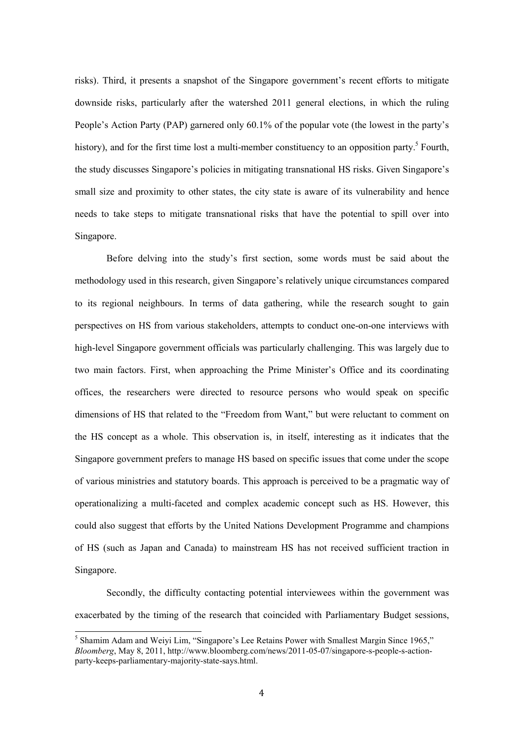risks). Third, it presents a snapshot of the Singapore government's recent efforts to mitigate downside risks, particularly after the watershed 2011 general elections, in which the ruling People's Action Party (PAP) garnered only 60.1% of the popular vote (the lowest in the party's history), and for the first time lost a multi-member constituency to an opposition party.<sup>5</sup> Fourth, the study discusses Singapore's policies in mitigating transnational HS risks. Given Singapore's small size and proximity to other states, the city state is aware of its vulnerability and hence needs to take steps to mitigate transnational risks that have the potential to spill over into Singapore.

Before delving into the study's first section, some words must be said about the methodology used in this research, given Singapore's relatively unique circumstances compared to its regional neighbours. In terms of data gathering, while the research sought to gain perspectives on HS from various stakeholders, attempts to conduct one-on-one interviews with high-level Singapore government officials was particularly challenging. This was largely due to two main factors. First, when approaching the Prime Minister's Office and its coordinating offices, the researchers were directed to resource persons who would speak on specific dimensions of HS that related to the "Freedom from Want," but were reluctant to comment on the HS concept as a whole. This observation is, in itself, interesting as it indicates that the Singapore government prefers to manage HS based on specific issues that come under the scope of various ministries and statutory boards. This approach is perceived to be a pragmatic way of operationalizing a multi-faceted and complex academic concept such as HS. However, this could also suggest that efforts by the United Nations Development Programme and champions of HS (such as Japan and Canada) to mainstream HS has not received sufficient traction in Singapore.

Secondly, the difficulty contacting potential interviewees within the government was exacerbated by the timing of the research that coincided with Parliamentary Budget sessions,

<sup>&</sup>lt;sup>5</sup> Shamim Adam and Weiyi Lim, "Singapore's Lee Retains Power with Smallest Margin Since 1965," *Bloomberg*, May 8, 2011, http://www.bloomberg.com/news/2011-05-07/singapore-s-people-s-actionparty-keeps-parliamentary-majority-state-says.html.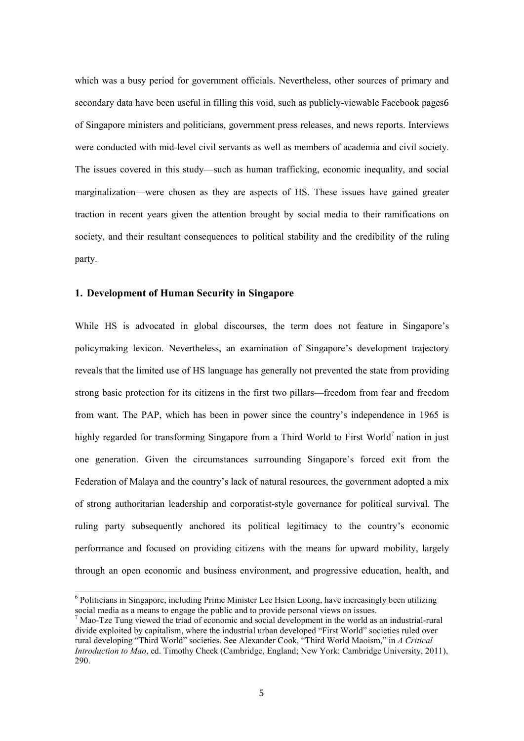which was a busy period for government officials. Nevertheless, other sources of primary and secondary data have been useful in filling this void, such as publicly-viewable Facebook pages6 of Singapore ministers and politicians, government press releases, and news reports. Interviews were conducted with mid-level civil servants as well as members of academia and civil society. The issues covered in this study—such as human trafficking, economic inequality, and social marginalization—were chosen as they are aspects of HS. These issues have gained greater traction in recent years given the attention brought by social media to their ramifications on society, and their resultant consequences to political stability and the credibility of the ruling party.

#### **1. Development of Human Security in Singapore**

-

While HS is advocated in global discourses, the term does not feature in Singapore's policymaking lexicon. Nevertheless, an examination of Singapore's development trajectory reveals that the limited use of HS language has generally not prevented the state from providing strong basic protection for its citizens in the first two pillars—freedom from fear and freedom from want. The PAP, which has been in power since the country's independence in 1965 is highly regarded for transforming Singapore from a Third World to First World<sup>7</sup> nation in just one generation. Given the circumstances surrounding Singapore's forced exit from the Federation of Malaya and the country's lack of natural resources, the government adopted a mix of strong authoritarian leadership and corporatist-style governance for political survival. The ruling party subsequently anchored its political legitimacy to the country's economic performance and focused on providing citizens with the means for upward mobility, largely through an open economic and business environment, and progressive education, health, and

<sup>&</sup>lt;sup>6</sup> Politicians in Singapore, including Prime Minister Lee Hsien Loong, have increasingly been utilizing social media as a means to engage the public and to provide personal views on issues.

<sup>7</sup> Mao-Tze Tung viewed the triad of economic and social development in the world as an industrial-rural divide exploited by capitalism, where the industrial urban developed "First World" societies ruled over rural developing "Third World" societies. See Alexander Cook, "Third World Maoism," in *A Critical Introduction to Mao*, ed. Timothy Cheek (Cambridge, England; New York: Cambridge University, 2011), 290.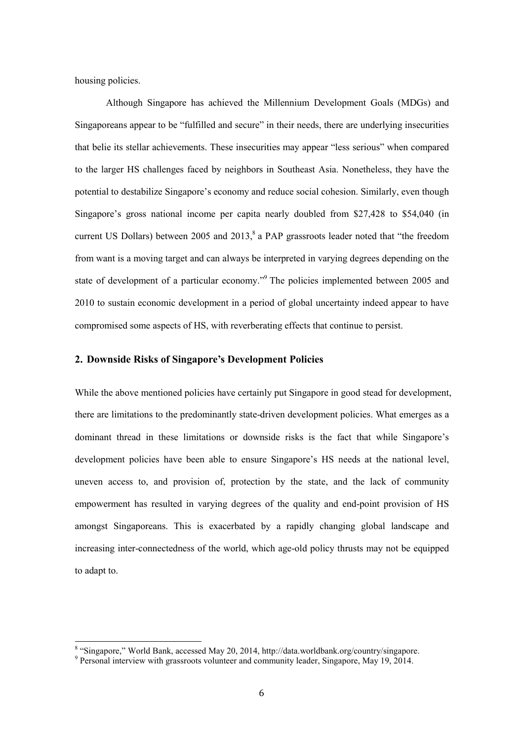housing policies.

<u>.</u>

Although Singapore has achieved the Millennium Development Goals (MDGs) and Singaporeans appear to be "fulfilled and secure" in their needs, there are underlying insecurities that belie its stellar achievements. These insecurities may appear "less serious" when compared to the larger HS challenges faced by neighbors in Southeast Asia. Nonetheless, they have the potential to destabilize Singapore's economy and reduce social cohesion. Similarly, even though Singapore's gross national income per capita nearly doubled from \$27,428 to \$54,040 (in current US Dollars) between 2005 and 2013, $^8$  a PAP grassroots leader noted that "the freedom from want is a moving target and can always be interpreted in varying degrees depending on the state of development of a particular economy."<sup>9</sup> The policies implemented between 2005 and 2010 to sustain economic development in a period of global uncertainty indeed appear to have compromised some aspects of HS, with reverberating effects that continue to persist.

#### **2. Downside Risks of Singapore's Development Policies**

While the above mentioned policies have certainly put Singapore in good stead for development, there are limitations to the predominantly state-driven development policies. What emerges as a dominant thread in these limitations or downside risks is the fact that while Singapore's development policies have been able to ensure Singapore's HS needs at the national level, uneven access to, and provision of, protection by the state, and the lack of community empowerment has resulted in varying degrees of the quality and end-point provision of HS amongst Singaporeans. This is exacerbated by a rapidly changing global landscape and increasing inter-connectedness of the world, which age-old policy thrusts may not be equipped to adapt to.

<sup>&</sup>lt;sup>8</sup> "Singapore," World Bank, accessed May 20, 2014, http://data.worldbank.org/country/singapore.

<sup>&</sup>lt;sup>9</sup> Personal interview with grassroots volunteer and community leader, Singapore, May 19, 2014.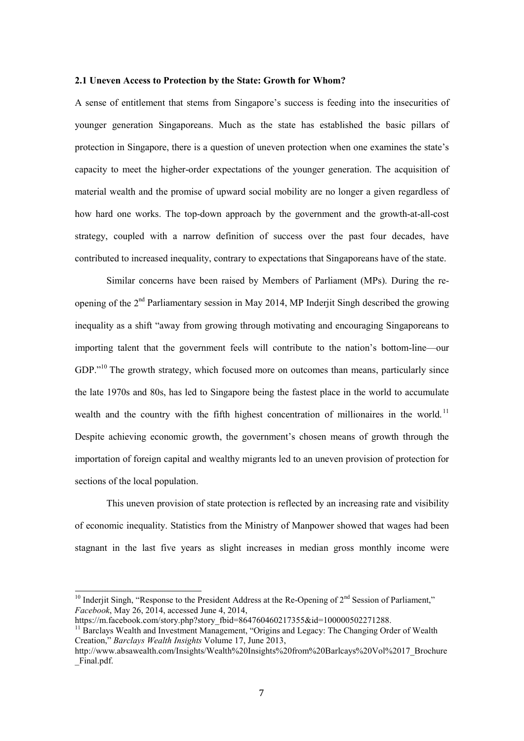#### **2.1 Uneven Access to Protection by the State: Growth for Whom?**

A sense of entitlement that stems from Singapore's success is feeding into the insecurities of younger generation Singaporeans. Much as the state has established the basic pillars of protection in Singapore, there is a question of uneven protection when one examines the state's capacity to meet the higher-order expectations of the younger generation. The acquisition of material wealth and the promise of upward social mobility are no longer a given regardless of how hard one works. The top-down approach by the government and the growth-at-all-cost strategy, coupled with a narrow definition of success over the past four decades, have contributed to increased inequality, contrary to expectations that Singaporeans have of the state.

Similar concerns have been raised by Members of Parliament (MPs). During the reopening of the 2<sup>nd</sup> Parliamentary session in May 2014, MP Inderjit Singh described the growing inequality as a shift "away from growing through motivating and encouraging Singaporeans to importing talent that the government feels will contribute to the nation's bottom-line—our GDP."<sup>10</sup> The growth strategy, which focused more on outcomes than means, particularly since the late 1970s and 80s, has led to Singapore being the fastest place in the world to accumulate wealth and the country with the fifth highest concentration of millionaires in the world.<sup>11</sup> Despite achieving economic growth, the government's chosen means of growth through the importation of foreign capital and wealthy migrants led to an uneven provision of protection for sections of the local population.

This uneven provision of state protection is reflected by an increasing rate and visibility of economic inequality. Statistics from the Ministry of Manpower showed that wages had been stagnant in the last five years as slight increases in median gross monthly income were

<sup>&</sup>lt;sup>10</sup> Inderjit Singh, "Response to the President Address at the Re-Opening of  $2<sup>nd</sup>$  Session of Parliament," *Facebook*, May 26, 2014, accessed June 4, 2014,

https://m.facebook.com/story.php?story\_fbid=864760460217355&id=100000502271288.

<sup>&</sup>lt;sup>11</sup> Barclays Wealth and Investment Management, "Origins and Legacy: The Changing Order of Wealth Creation," *Barclays Wealth Insights* Volume 17, June 2013,

http://www.absawealth.com/Insights/Wealth%20Insights%20from%20Barlcays%20Vol%2017\_Brochure \_Final.pdf.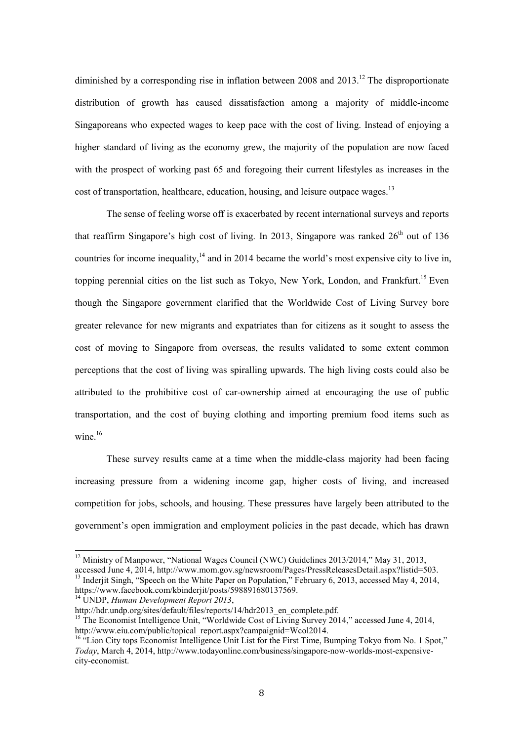diminished by a corresponding rise in inflation between 2008 and  $2013$ <sup>12</sup>. The disproportionate distribution of growth has caused dissatisfaction among a majority of middle-income Singaporeans who expected wages to keep pace with the cost of living. Instead of enjoying a higher standard of living as the economy grew, the majority of the population are now faced with the prospect of working past 65 and foregoing their current lifestyles as increases in the cost of transportation, healthcare, education, housing, and leisure outpace wages.<sup>13</sup>

The sense of feeling worse off is exacerbated by recent international surveys and reports that reaffirm Singapore's high cost of living. In 2013, Singapore was ranked  $26<sup>th</sup>$  out of 136 countries for income inequality,  $14$  and in 2014 became the world's most expensive city to live in, topping perennial cities on the list such as Tokyo, New York, London, and Frankfurt.<sup>15</sup> Even though the Singapore government clarified that the Worldwide Cost of Living Survey bore greater relevance for new migrants and expatriates than for citizens as it sought to assess the cost of moving to Singapore from overseas, the results validated to some extent common perceptions that the cost of living was spiralling upwards. The high living costs could also be attributed to the prohibitive cost of car-ownership aimed at encouraging the use of public transportation, and the cost of buying clothing and importing premium food items such as wine.<sup>16</sup>

These survey results came at a time when the middle-class majority had been facing increasing pressure from a widening income gap, higher costs of living, and increased competition for jobs, schools, and housing. These pressures have largely been attributed to the government's open immigration and employment policies in the past decade, which has drawn

<u>.</u>

<sup>&</sup>lt;sup>12</sup> Ministry of Manpower, "National Wages Council (NWC) Guidelines 2013/2014," May 31, 2013,

accessed June 4, 2014, http://www.mom.gov.sg/newsroom/Pages/PressReleasesDetail.aspx?listid=503. <sup>13</sup> Inderjit Singh, "Speech on the White Paper on Population," February 6, 2013, accessed May 4, 2014, https://www.facebook.com/kbinderjit/posts/598891680137569.

<sup>14</sup> UNDP, *Human Development Report 2013*,

http://hdr.undp.org/sites/default/files/reports/14/hdr2013\_en\_complete.pdf.

<sup>&</sup>lt;sup>15</sup> The Economist Intelligence Unit, "Worldwide Cost of Living Survey 2014," accessed June 4, 2014, http://www.eiu.com/public/topical\_report.aspx?campaignid=Wcol2014.

<sup>&</sup>lt;sup>16 "</sup>Lion City tops Economist Intelligence Unit List for the First Time, Bumping Tokyo from No. 1 Spot," *Today*, March 4, 2014, http://www.todayonline.com/business/singapore-now-worlds-most-expensivecity-economist.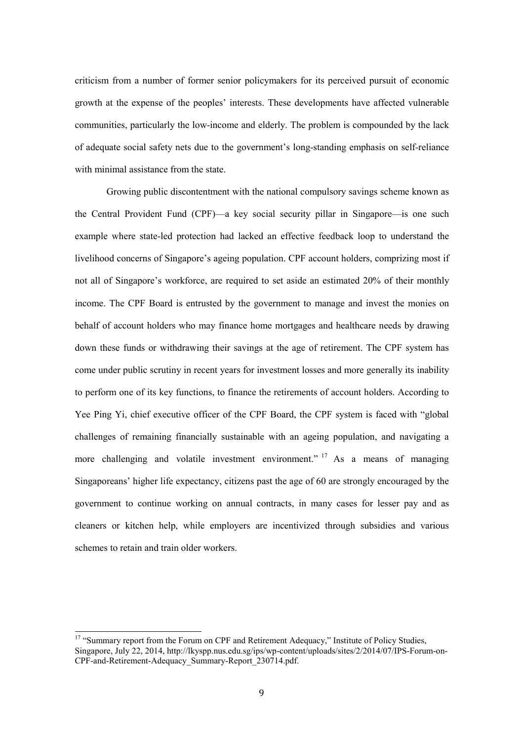criticism from a number of former senior policymakers for its perceived pursuit of economic growth at the expense of the peoples' interests. These developments have affected vulnerable communities, particularly the low-income and elderly. The problem is compounded by the lack of adequate social safety nets due to the government's long-standing emphasis on self-reliance with minimal assistance from the state.

Growing public discontentment with the national compulsory savings scheme known as the Central Provident Fund (CPF)—a key social security pillar in Singapore—is one such example where state-led protection had lacked an effective feedback loop to understand the livelihood concerns of Singapore's ageing population. CPF account holders, comprizing most if not all of Singapore's workforce, are required to set aside an estimated 20% of their monthly income. The CPF Board is entrusted by the government to manage and invest the monies on behalf of account holders who may finance home mortgages and healthcare needs by drawing down these funds or withdrawing their savings at the age of retirement. The CPF system has come under public scrutiny in recent years for investment losses and more generally its inability to perform one of its key functions, to finance the retirements of account holders. According to Yee Ping Yi, chief executive officer of the CPF Board, the CPF system is faced with "global challenges of remaining financially sustainable with an ageing population, and navigating a more challenging and volatile investment environment."  $17$  As a means of managing Singaporeans' higher life expectancy, citizens past the age of 60 are strongly encouraged by the government to continue working on annual contracts, in many cases for lesser pay and as cleaners or kitchen help, while employers are incentivized through subsidies and various schemes to retain and train older workers.

<sup>&</sup>lt;sup>17</sup> "Summary report from the Forum on CPF and Retirement Adequacy," Institute of Policy Studies, Singapore, July 22, 2014, http://lkyspp.nus.edu.sg/ips/wp-content/uploads/sites/2/2014/07/IPS-Forum-on-CPF-and-Retirement-Adequacy\_Summary-Report\_230714.pdf.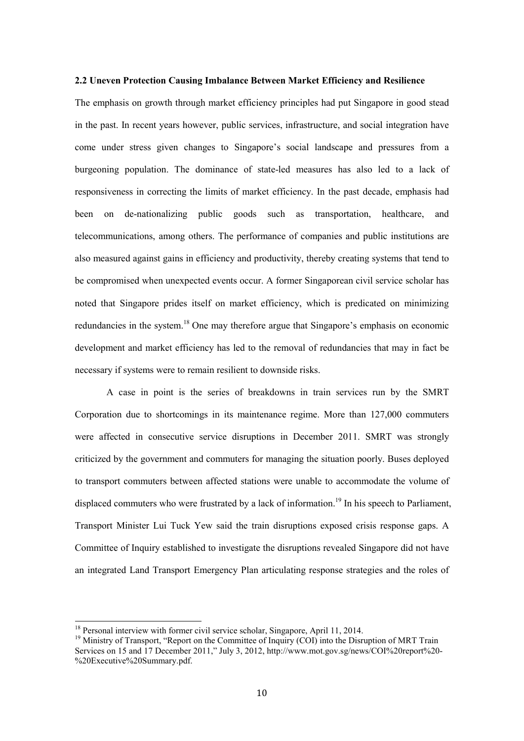#### **2.2 Uneven Protection Causing Imbalance Between Market Efficiency and Resilience**

The emphasis on growth through market efficiency principles had put Singapore in good stead in the past. In recent years however, public services, infrastructure, and social integration have come under stress given changes to Singapore's social landscape and pressures from a burgeoning population. The dominance of state-led measures has also led to a lack of responsiveness in correcting the limits of market efficiency. In the past decade, emphasis had been on de-nationalizing public goods such as transportation, healthcare, and telecommunications, among others. The performance of companies and public institutions are also measured against gains in efficiency and productivity, thereby creating systems that tend to be compromised when unexpected events occur. A former Singaporean civil service scholar has noted that Singapore prides itself on market efficiency, which is predicated on minimizing redundancies in the system.<sup>18</sup> One may therefore argue that Singapore's emphasis on economic development and market efficiency has led to the removal of redundancies that may in fact be necessary if systems were to remain resilient to downside risks.

A case in point is the series of breakdowns in train services run by the SMRT Corporation due to shortcomings in its maintenance regime. More than 127,000 commuters were affected in consecutive service disruptions in December 2011. SMRT was strongly criticized by the government and commuters for managing the situation poorly. Buses deployed to transport commuters between affected stations were unable to accommodate the volume of displaced commuters who were frustrated by a lack of information.<sup>19</sup> In his speech to Parliament, Transport Minister Lui Tuck Yew said the train disruptions exposed crisis response gaps. A Committee of Inquiry established to investigate the disruptions revealed Singapore did not have an integrated Land Transport Emergency Plan articulating response strategies and the roles of

<sup>&</sup>lt;sup>18</sup> Personal interview with former civil service scholar, Singapore, April 11, 2014.

 $19$  Ministry of Transport, "Report on the Committee of Inquiry (COI) into the Disruption of MRT Train Services on 15 and 17 December 2011," July 3, 2012, http://www.mot.gov.sg/news/COI%20report%20- %20Executive%20Summary.pdf.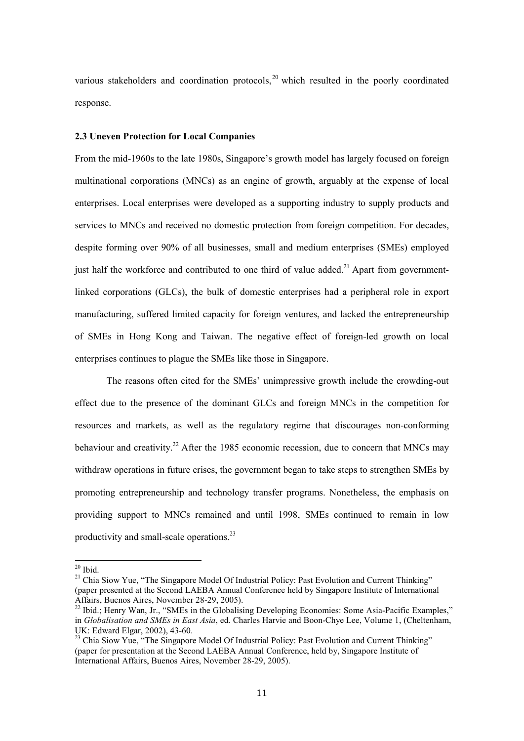various stakeholders and coordination protocols, $^{20}$  which resulted in the poorly coordinated response.

#### **2.3 Uneven Protection for Local Companies**

From the mid-1960s to the late 1980s, Singapore's growth model has largely focused on foreign multinational corporations (MNCs) as an engine of growth, arguably at the expense of local enterprises. Local enterprises were developed as a supporting industry to supply products and services to MNCs and received no domestic protection from foreign competition. For decades, despite forming over 90% of all businesses, small and medium enterprises (SMEs) employed just half the workforce and contributed to one third of value added.<sup>21</sup> Apart from governmentlinked corporations (GLCs), the bulk of domestic enterprises had a peripheral role in export manufacturing, suffered limited capacity for foreign ventures, and lacked the entrepreneurship of SMEs in Hong Kong and Taiwan. The negative effect of foreign-led growth on local enterprises continues to plague the SMEs like those in Singapore.

The reasons often cited for the SMEs' unimpressive growth include the crowding-out effect due to the presence of the dominant GLCs and foreign MNCs in the competition for resources and markets, as well as the regulatory regime that discourages non-conforming behaviour and creativity.<sup>22</sup> After the 1985 economic recession, due to concern that MNCs may withdraw operations in future crises, the government began to take steps to strengthen SMEs by promoting entrepreneurship and technology transfer programs. Nonetheless, the emphasis on providing support to MNCs remained and until 1998, SMEs continued to remain in low productivity and small-scale operations.23

 $20$  Ibid.

<sup>&</sup>lt;sup>21</sup> Chia Siow Yue, "The Singapore Model Of Industrial Policy: Past Evolution and Current Thinking" (paper presented at the Second LAEBA Annual Conference held by Singapore Institute of International Affairs, Buenos Aires, November 28-29, 2005).

 $^{22}$  Ibid.; Henry Wan, Jr., "SMEs in the Globalising Developing Economies: Some Asia-Pacific Examples," in *Globalisation and SMEs in East Asia*, ed. Charles Harvie and Boon-Chye Lee, Volume 1, (Cheltenham, UK: Edward Elgar, 2002), 43-60.

<sup>&</sup>lt;sup>23</sup> Chia Siow Yue, "The Singapore Model Of Industrial Policy: Past Evolution and Current Thinking" (paper for presentation at the Second LAEBA Annual Conference, held by, Singapore Institute of International Affairs, Buenos Aires, November 28-29, 2005).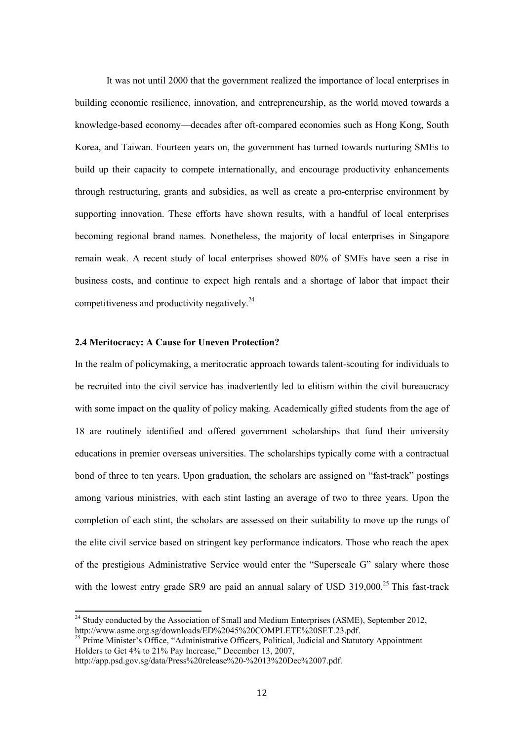It was not until 2000 that the government realized the importance of local enterprises in building economic resilience, innovation, and entrepreneurship, as the world moved towards a knowledge-based economy—decades after oft-compared economies such as Hong Kong, South Korea, and Taiwan. Fourteen years on, the government has turned towards nurturing SMEs to build up their capacity to compete internationally, and encourage productivity enhancements through restructuring, grants and subsidies, as well as create a pro-enterprise environment by supporting innovation. These efforts have shown results, with a handful of local enterprises becoming regional brand names. Nonetheless, the majority of local enterprises in Singapore remain weak. A recent study of local enterprises showed 80% of SMEs have seen a rise in business costs, and continue to expect high rentals and a shortage of labor that impact their competitiveness and productivity negatively.24

#### **2.4 Meritocracy: A Cause for Uneven Protection?**

In the realm of policymaking, a meritocratic approach towards talent-scouting for individuals to be recruited into the civil service has inadvertently led to elitism within the civil bureaucracy with some impact on the quality of policy making. Academically gifted students from the age of 18 are routinely identified and offered government scholarships that fund their university educations in premier overseas universities. The scholarships typically come with a contractual bond of three to ten years. Upon graduation, the scholars are assigned on "fast-track" postings among various ministries, with each stint lasting an average of two to three years. Upon the completion of each stint, the scholars are assessed on their suitability to move up the rungs of the elite civil service based on stringent key performance indicators. Those who reach the apex of the prestigious Administrative Service would enter the "Superscale G" salary where those with the lowest entry grade SR9 are paid an annual salary of USD  $319,000^{25}$  This fast-track

 $24$  Study conducted by the Association of Small and Medium Enterprises (ASME), September 2012, http://www.asme.org.sg/downloads/ED%2045%20COMPLETE%20SET.23.pdf.

 $^{25}$  Prime Minister's Office, "Administrative Officers, Political, Judicial and Statutory Appointment Holders to Get 4% to 21% Pay Increase," December 13, 2007,

http://app.psd.gov.sg/data/Press%20release%20-%2013%20Dec%2007.pdf.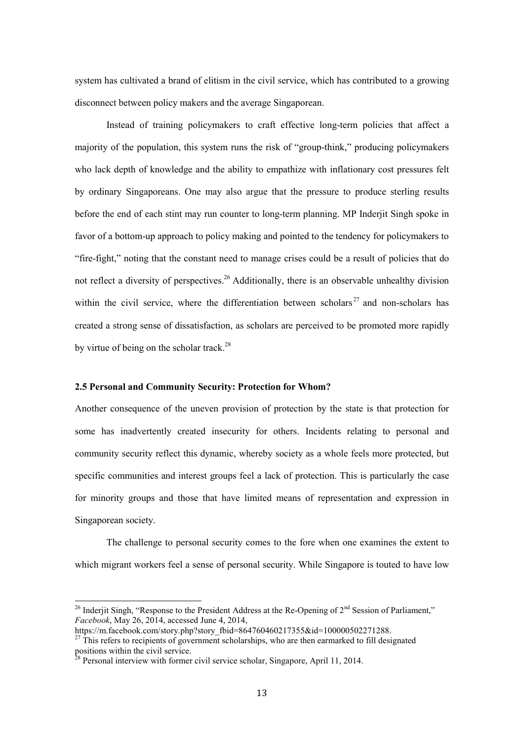system has cultivated a brand of elitism in the civil service, which has contributed to a growing disconnect between policy makers and the average Singaporean.

Instead of training policymakers to craft effective long-term policies that affect a majority of the population, this system runs the risk of "group-think," producing policymakers who lack depth of knowledge and the ability to empathize with inflationary cost pressures felt by ordinary Singaporeans. One may also argue that the pressure to produce sterling results before the end of each stint may run counter to long-term planning. MP Inderjit Singh spoke in favor of a bottom-up approach to policy making and pointed to the tendency for policymakers to "fire-fight," noting that the constant need to manage crises could be a result of policies that do not reflect a diversity of perspectives.<sup>26</sup> Additionally, there is an observable unhealthy division within the civil service, where the differentiation between scholars<sup>27</sup> and non-scholars has created a strong sense of dissatisfaction, as scholars are perceived to be promoted more rapidly by virtue of being on the scholar track.<sup>28</sup>

#### **2.5 Personal and Community Security: Protection for Whom?**

Another consequence of the uneven provision of protection by the state is that protection for some has inadvertently created insecurity for others. Incidents relating to personal and community security reflect this dynamic, whereby society as a whole feels more protected, but specific communities and interest groups feel a lack of protection. This is particularly the case for minority groups and those that have limited means of representation and expression in Singaporean society.

The challenge to personal security comes to the fore when one examines the extent to which migrant workers feel a sense of personal security. While Singapore is touted to have low

<sup>&</sup>lt;sup>26</sup> Inderjit Singh, "Response to the President Address at the Re-Opening of  $2<sup>nd</sup>$  Session of Parliament," *Facebook*, May 26, 2014, accessed June 4, 2014,

https://m.facebook.com/story.php?story\_fbid=864760460217355&id=100000502271288.

 $^{27}$  This refers to recipients of government scholarships, who are then earmarked to fill designated positions within the civil service.

 $28$  Personal interview with former civil service scholar, Singapore, April 11, 2014.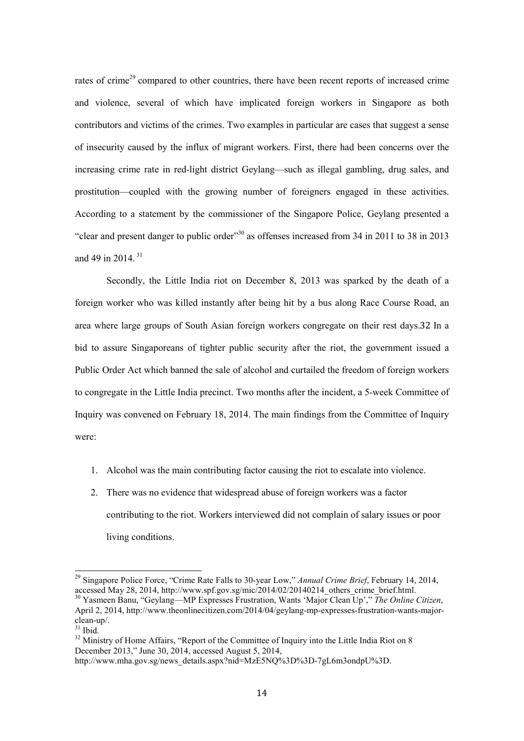rates of crime<sup>29</sup> compared to other countries, there have been recent reports of increased crime and violence, several of which have implicated foreign workers in Singapore as both contributors and victims of the crimes. Two examples in particular are cases that suggest a sense of insecurity caused by the influx of migrant workers. First, there had been concerns over the increasing crime rate in red-light district Geylang—such as illegal gambling, drug sales, and prostitution—coupled with the growing number of foreigners engaged in these activities. According to a statement by the commissioner of the Singapore Police, Geylang presented a "clear and present danger to public order"30 as offenses increased from 34 in 2011 to 38 in 2013 and 49 in 2014.<sup>31</sup>

Secondly, the Little India riot on December 8, 2013 was sparked by the death of a foreign worker who was killed instantly after being hit by a bus along Race Course Road, an area where large groups of South Asian foreign workers congregate on their rest days.32 In a bid to assure Singaporeans of tighter public security after the riot, the government issued a Public Order Act which banned the sale of alcohol and curtailed the freedom of foreign workers to congregate in the Little India precinct. Two months after the incident, a 5-week Committee of Inquiry was convened on February 18, 2014. The main findings from the Committee of Inquiry were:

- 1. Alcohol was the main contributing factor causing the riot to escalate into violence.
- 2. There was no evidence that widespread abuse of foreign workers was a factor contributing to the riot. Workers interviewed did not complain of salary issues or poor living conditions.

<sup>29</sup> Singapore Police Force, "Crime Rate Falls to 30-year Low," *Annual Crime Brief*, February 14, 2014, accessed May 28, 2014, http://www.spf.gov.sg/mic/2014/02/20140214\_others\_crime\_brief.html. 30 Yasmeen Banu, "Geylang—MP Expresses Frustration, Wants 'Major Clean Up'," *The Online Citizen*, April 2, 2014, http://www.theonlinecitizen.com/2014/04/geylang-mp-expresses-frustration-wants-majorclean-up/.

 $31$  Ibid.

<sup>&</sup>lt;sup>32</sup> Ministry of Home Affairs, "Report of the Committee of Inquiry into the Little India Riot on 8 December 2013," June 30, 2014, accessed August 5, 2014,

http://www.mha.gov.sg/news\_details.aspx?nid=MzE5NO%3D%3D-7gL6m3ondpU%3D.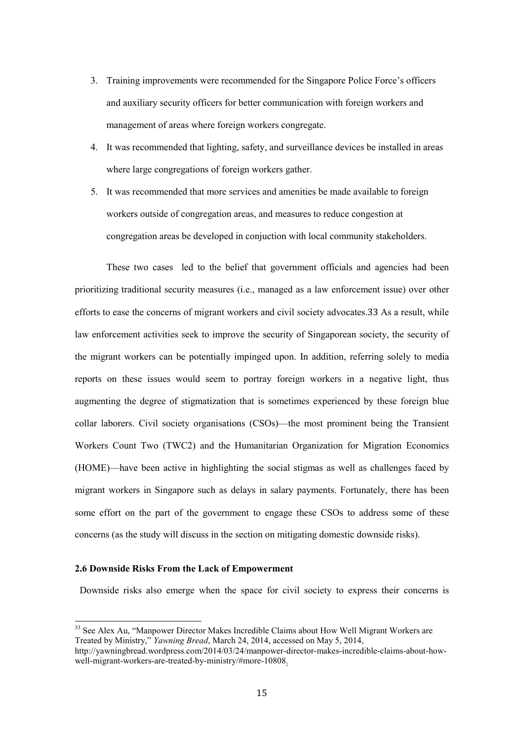- 3. Training improvements were recommended for the Singapore Police Force's officers and auxiliary security officers for better communication with foreign workers and management of areas where foreign workers congregate.
- 4. It was recommended that lighting, safety, and surveillance devices be installed in areas where large congregations of foreign workers gather.
- 5. It was recommended that more services and amenities be made available to foreign workers outside of congregation areas, and measures to reduce congestion at congregation areas be developed in conjuction with local community stakeholders.

These two cases led to the belief that government officials and agencies had been prioritizing traditional security measures (i.e., managed as a law enforcement issue) over other efforts to ease the concerns of migrant workers and civil society advocates.33 As a result, while law enforcement activities seek to improve the security of Singaporean society, the security of the migrant workers can be potentially impinged upon. In addition, referring solely to media reports on these issues would seem to portray foreign workers in a negative light, thus augmenting the degree of stigmatization that is sometimes experienced by these foreign blue collar laborers. Civil society organisations (CSOs)—the most prominent being the Transient Workers Count Two (TWC2) and the Humanitarian Organization for Migration Economics (HOME)—have been active in highlighting the social stigmas as well as challenges faced by migrant workers in Singapore such as delays in salary payments. Fortunately, there has been some effort on the part of the government to engage these CSOs to address some of these concerns (as the study will discuss in the section on mitigating domestic downside risks).

#### **2.6 Downside Risks From the Lack of Empowerment**

-

Downside risks also emerge when the space for civil society to express their concerns is

<sup>&</sup>lt;sup>33</sup> See Alex Au, "Manpower Director Makes Incredible Claims about How Well Migrant Workers are Treated by Ministry," *Yawning Bread*, March 24, 2014, accessed on May 5, 2014,

http://yawningbread.wordpress.com/2014/03/24/manpower-director-makes-incredible-claims-about-howwell-migrant-workers-are-treated-by-ministry/#more-10808.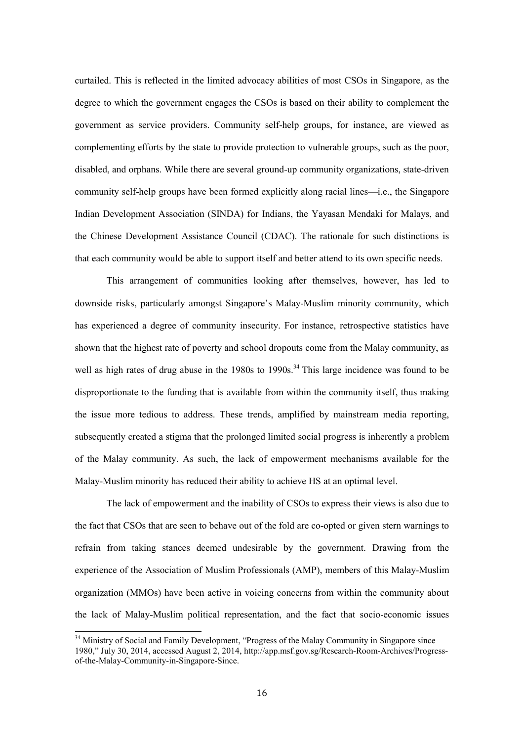curtailed. This is reflected in the limited advocacy abilities of most CSOs in Singapore, as the degree to which the government engages the CSOs is based on their ability to complement the government as service providers. Community self-help groups, for instance, are viewed as complementing efforts by the state to provide protection to vulnerable groups, such as the poor, disabled, and orphans. While there are several ground-up community organizations, state-driven community self-help groups have been formed explicitly along racial lines—i.e., the Singapore Indian Development Association (SINDA) for Indians, the Yayasan Mendaki for Malays, and the Chinese Development Assistance Council (CDAC). The rationale for such distinctions is that each community would be able to support itself and better attend to its own specific needs.

This arrangement of communities looking after themselves, however, has led to downside risks, particularly amongst Singapore's Malay-Muslim minority community, which has experienced a degree of community insecurity. For instance, retrospective statistics have shown that the highest rate of poverty and school dropouts come from the Malay community, as well as high rates of drug abuse in the  $1980s$  to  $1990s$ .<sup>34</sup> This large incidence was found to be disproportionate to the funding that is available from within the community itself, thus making the issue more tedious to address. These trends, amplified by mainstream media reporting, subsequently created a stigma that the prolonged limited social progress is inherently a problem of the Malay community. As such, the lack of empowerment mechanisms available for the Malay-Muslim minority has reduced their ability to achieve HS at an optimal level.

The lack of empowerment and the inability of CSOs to express their views is also due to the fact that CSOs that are seen to behave out of the fold are co-opted or given stern warnings to refrain from taking stances deemed undesirable by the government. Drawing from the experience of the Association of Muslim Professionals (AMP), members of this Malay-Muslim organization (MMOs) have been active in voicing concerns from within the community about the lack of Malay-Muslim political representation, and the fact that socio-economic issues

<sup>&</sup>lt;sup>34</sup> Ministry of Social and Family Development, "Progress of the Malay Community in Singapore since 1980," July 30, 2014, accessed August 2, 2014, http://app.msf.gov.sg/Research-Room-Archives/Progressof-the-Malay-Community-in-Singapore-Since.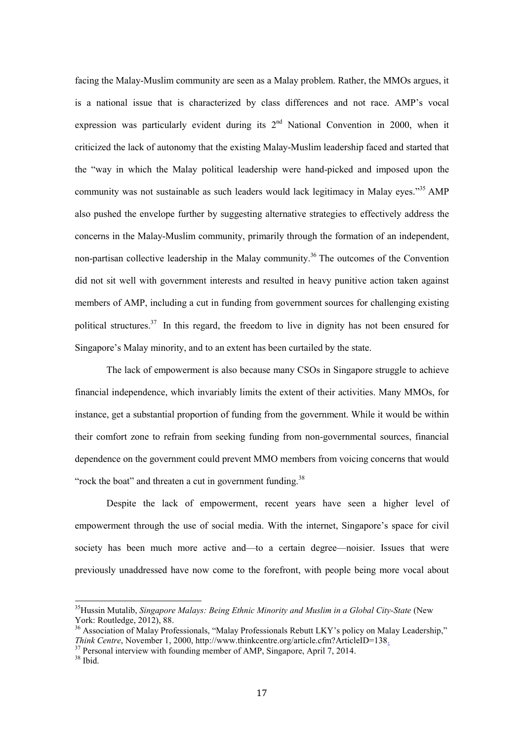facing the Malay-Muslim community are seen as a Malay problem. Rather, the MMOs argues, it is a national issue that is characterized by class differences and not race. AMP's vocal expression was particularly evident during its 2<sup>nd</sup> National Convention in 2000, when it criticized the lack of autonomy that the existing Malay-Muslim leadership faced and started that the "way in which the Malay political leadership were hand-picked and imposed upon the community was not sustainable as such leaders would lack legitimacy in Malay eyes."<sup>35</sup> AMP also pushed the envelope further by suggesting alternative strategies to effectively address the concerns in the Malay-Muslim community, primarily through the formation of an independent, non-partisan collective leadership in the Malay community.<sup>36</sup> The outcomes of the Convention did not sit well with government interests and resulted in heavy punitive action taken against members of AMP, including a cut in funding from government sources for challenging existing political structures.<sup>37</sup> In this regard, the freedom to live in dignity has not been ensured for Singapore's Malay minority, and to an extent has been curtailed by the state.

The lack of empowerment is also because many CSOs in Singapore struggle to achieve financial independence, which invariably limits the extent of their activities. Many MMOs, for instance, get a substantial proportion of funding from the government. While it would be within their comfort zone to refrain from seeking funding from non-governmental sources, financial dependence on the government could prevent MMO members from voicing concerns that would "rock the boat" and threaten a cut in government funding.<sup>38</sup>

Despite the lack of empowerment, recent years have seen a higher level of empowerment through the use of social media. With the internet, Singapore's space for civil society has been much more active and—to a certain degree—noisier. Issues that were previously unaddressed have now come to the forefront, with people being more vocal about

<sup>35</sup>Hussin Mutalib, *Singapore Malays: Being Ethnic Minority and Muslim in a Global City-State* (New York: Routledge, 2012), 88.

<sup>&</sup>lt;sup>36</sup> Association of Malay Professionals, "Malay Professionals Rebutt LKY's policy on Malay Leadership," *Think Centre*, November 1, 2000, http://www.thinkcentre.org/article.cfm?ArticleID=138.<br><sup>37</sup> Personal interview with founding member of AMP, Singapore, April 7, 2014.

<sup>38</sup> Ibid.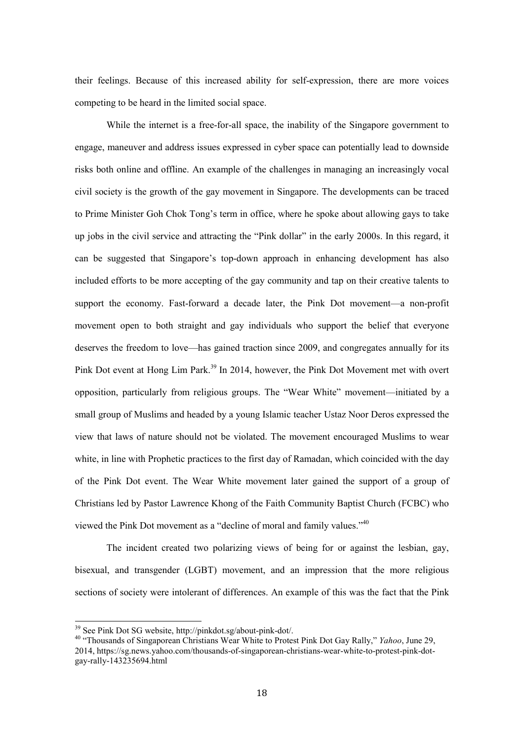their feelings. Because of this increased ability for self-expression, there are more voices competing to be heard in the limited social space.

While the internet is a free-for-all space, the inability of the Singapore government to engage, maneuver and address issues expressed in cyber space can potentially lead to downside risks both online and offline. An example of the challenges in managing an increasingly vocal civil society is the growth of the gay movement in Singapore. The developments can be traced to Prime Minister Goh Chok Tong's term in office, where he spoke about allowing gays to take up jobs in the civil service and attracting the "Pink dollar" in the early 2000s. In this regard, it can be suggested that Singapore's top-down approach in enhancing development has also included efforts to be more accepting of the gay community and tap on their creative talents to support the economy. Fast-forward a decade later, the Pink Dot movement—a non-profit movement open to both straight and gay individuals who support the belief that everyone deserves the freedom to love—has gained traction since 2009, and congregates annually for its Pink Dot event at Hong Lim Park.<sup>39</sup> In 2014, however, the Pink Dot Movement met with overt opposition, particularly from religious groups. The "Wear White" movement—initiated by a small group of Muslims and headed by a young Islamic teacher Ustaz Noor Deros expressed the view that laws of nature should not be violated. The movement encouraged Muslims to wear white, in line with Prophetic practices to the first day of Ramadan, which coincided with the day of the Pink Dot event. The Wear White movement later gained the support of a group of Christians led by Pastor Lawrence Khong of the Faith Community Baptist Church (FCBC) who viewed the Pink Dot movement as a "decline of moral and family values."40

The incident created two polarizing views of being for or against the lesbian, gay, bisexual, and transgender (LGBT) movement, and an impression that the more religious sections of society were intolerant of differences. An example of this was the fact that the Pink

<sup>&</sup>lt;sup>39</sup> See Pink Dot SG website, http://pinkdot.sg/about-pink-dot/.

<sup>40 &</sup>quot;Thousands of Singaporean Christians Wear White to Protest Pink Dot Gay Rally," *Yahoo*, June 29, 2014, https://sg.news.yahoo.com/thousands-of-singaporean-christians-wear-white-to-protest-pink-dotgay-rally-143235694.html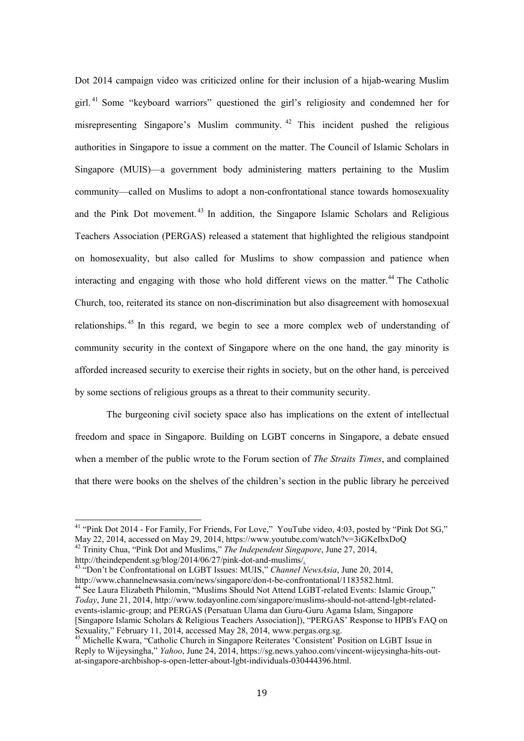Dot 2014 campaign video was criticized online for their inclusion of a hijab-wearing Muslim girl. 41 Some "keyboard warriors" questioned the girl's religiosity and condemned her for misrepresenting Singapore's Muslim community. 42 This incident pushed the religious authorities in Singapore to issue a comment on the matter. The Council of Islamic Scholars in Singapore (MUIS)—a government body administering matters pertaining to the Muslim community—called on Muslims to adopt a non-confrontational stance towards homosexuality and the Pink Dot movement. 43 In addition, the Singapore Islamic Scholars and Religious Teachers Association (PERGAS) released a statement that highlighted the religious standpoint on homosexuality, but also called for Muslims to show compassion and patience when interacting and engaging with those who hold different views on the matter.<sup>44</sup> The Catholic Church, too, reiterated its stance on non-discrimination but also disagreement with homosexual relationships. 45 In this regard, we begin to see a more complex web of understanding of community security in the context of Singapore where on the one hand, the gay minority is afforded increased security to exercise their rights in society, but on the other hand, is perceived by some sections of religious groups as a threat to their community security.

The burgeoning civil society space also has implications on the extent of intellectual freedom and space in Singapore. Building on LGBT concerns in Singapore, a debate ensued when a member of the public wrote to the Forum section of *The Straits Times*, and complained that there were books on the shelves of the children's section in the public library he perceived

<u>.</u>

 $41$  "Pink Dot 2014 - For Family, For Friends, For Love," YouTube video, 4:03, posted by "Pink Dot SG," May 22, 2014, accessed on May 29, 2014, https://www.youtube.com/watch?v=3iGKeIbxDoQ

<sup>42</sup> Trinity Chua, "Pink Dot and Muslims," *The Independent Singapore*, June 27, 2014,

http://theindependent.sg/blog/2014/06/27/pink-dot-and-muslims/. 43 "Don't be Confrontational on LGBT Issues: MUIS," *Channel NewsAsia*, June 20, 2014, http://www.channelnewsasia.com/news/singapore/don-t-be-confrontational/1183582.html.

<sup>&</sup>lt;sup>44</sup> See Laura Elizabeth Philomin, "Muslims Should Not Attend LGBT-related Events: Islamic Group," *Today*, June 21, 2014, http://www.todayonline.com/singapore/muslims-should-not-attend-lgbt-relatedevents-islamic-group; and PERGAS (Persatuan Ulama dan Guru-Guru Agama Islam, Singapore [Singapore Islamic Scholars & Religious Teachers Association]), "PERGAS' Response to HPB's FAQ on Sexuality," February 11, 2014, accessed May 28, 2014, www.pergas.org.sg.

<sup>45</sup> Michelle Kwara, "Catholic Church in Singapore Reiterates 'Consistent' Position on LGBT Issue in Reply to Wijeysingha," *Yahoo*, June 24, 2014, https://sg.news.yahoo.com/vincent-wijeysingha-hits-outat-singapore-archbishop-s-open-letter-about-lgbt-individuals-030444396.html.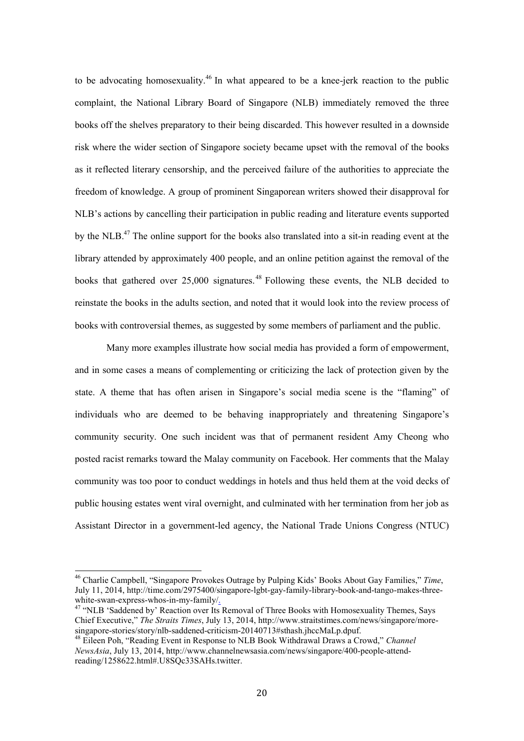to be advocating homosexuality.<sup>46</sup> In what appeared to be a knee-jerk reaction to the public complaint, the National Library Board of Singapore (NLB) immediately removed the three books off the shelves preparatory to their being discarded. This however resulted in a downside risk where the wider section of Singapore society became upset with the removal of the books as it reflected literary censorship, and the perceived failure of the authorities to appreciate the freedom of knowledge. A group of prominent Singaporean writers showed their disapproval for NLB's actions by cancelling their participation in public reading and literature events supported by the NLB.<sup>47</sup> The online support for the books also translated into a sit-in reading event at the library attended by approximately 400 people, and an online petition against the removal of the books that gathered over 25,000 signatures.<sup>48</sup> Following these events, the NLB decided to reinstate the books in the adults section, and noted that it would look into the review process of books with controversial themes, as suggested by some members of parliament and the public.

Many more examples illustrate how social media has provided a form of empowerment, and in some cases a means of complementing or criticizing the lack of protection given by the state. A theme that has often arisen in Singapore's social media scene is the "flaming" of individuals who are deemed to be behaving inappropriately and threatening Singapore's community security. One such incident was that of permanent resident Amy Cheong who posted racist remarks toward the Malay community on Facebook. Her comments that the Malay community was too poor to conduct weddings in hotels and thus held them at the void decks of public housing estates went viral overnight, and culminated with her termination from her job as Assistant Director in a government-led agency, the National Trade Unions Congress (NTUC)

<sup>46</sup> Charlie Campbell, "Singapore Provokes Outrage by Pulping Kids' Books About Gay Families," *Time*, July 11, 2014, http://time.com/2975400/singapore-lgbt-gay-family-library-book-and-tango-makes-threewhite-swan-express-whos-in-my-family/<br><sup>47</sup> "NLB 'Saddened by' Reaction over Its Removal of Three Books with Homosexuality Themes, Says

Chief Executive," *The Straits Times*, July 13, 2014, http://www.straitstimes.com/news/singapore/moresingapore-stories/story/nlb-saddened-criticism-20140713#sthash.jhccMaLp.dpuf. 48 Eileen Poh, "Reading Event in Response to NLB Book Withdrawal Draws a Crowd," *Channel* 

*NewsAsia*, July 13, 2014, http://www.channelnewsasia.com/news/singapore/400-people-attendreading/1258622.html#.U8SQc33SAHs.twitter.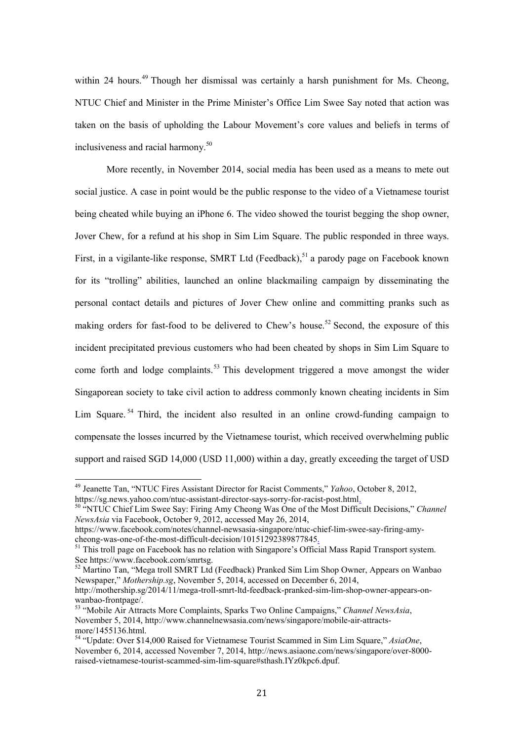within 24 hours.<sup>49</sup> Though her dismissal was certainly a harsh punishment for Ms. Cheong, NTUC Chief and Minister in the Prime Minister's Office Lim Swee Say noted that action was taken on the basis of upholding the Labour Movement's core values and beliefs in terms of inclusiveness and racial harmony.<sup>50</sup>

More recently, in November 2014, social media has been used as a means to mete out social justice. A case in point would be the public response to the video of a Vietnamese tourist being cheated while buying an iPhone 6. The video showed the tourist begging the shop owner, Jover Chew, for a refund at his shop in Sim Lim Square. The public responded in three ways. First, in a vigilante-like response, SMRT Ltd (Feedback),  $51$  a parody page on Facebook known for its "trolling" abilities, launched an online blackmailing campaign by disseminating the personal contact details and pictures of Jover Chew online and committing pranks such as making orders for fast-food to be delivered to Chew's house.<sup>52</sup> Second, the exposure of this incident precipitated previous customers who had been cheated by shops in Sim Lim Square to come forth and lodge complaints.<sup>53</sup> This development triggered a move amongst the wider Singaporean society to take civil action to address commonly known cheating incidents in Sim Lim Square.  $54$  Third, the incident also resulted in an online crowd-funding campaign to compensate the losses incurred by the Vietnamese tourist, which received overwhelming public support and raised SGD 14,000 (USD 11,000) within a day, greatly exceeding the target of USD

<sup>49</sup> Jeanette Tan, "NTUC Fires Assistant Director for Racist Comments," *Yahoo*, October 8, 2012,

https://sg.news.yahoo.com/ntuc-assistant-director-says-sorry-for-racist-post.html<sub>.</sub><br><sup>50</sup> "NTUC Chief Lim Swee Say: Firing Amy Cheong Was One of the Most Difficult Decisions," *Channel NewsAsia* via Facebook, October 9, 2012, accessed May 26, 2014,

https://www.facebook.com/notes/channel-newsasia-singapore/ntuc-chief-lim-swee-say-firing-amycheong-was-one-of-the-most-difficult-decision/10151292389877845.<br>
<sup>51</sup> This troll page on Facebook has no relation with Singapore's Official Mass Rapid Transport system.

See https://www.facebook.com/smrtsg.

<sup>&</sup>lt;sup>52</sup> Martino Tan, "Mega troll SMRT Ltd (Feedback) Pranked Sim Lim Shop Owner, Appears on Wanbao Newspaper," *Mothership.sg*, November 5, 2014, accessed on December 6, 2014,

http://mothership.sg/2014/11/mega-troll-smrt-ltd-feedback-pranked-sim-lim-shop-owner-appears-onwanbao-frontpage/.

<sup>53 &</sup>quot;Mobile Air Attracts More Complaints, Sparks Two Online Campaigns," *Channel NewsAsia*, November 5, 2014, http://www.channelnewsasia.com/news/singapore/mobile-air-attractsmore/1455136.html.

<sup>54 &</sup>quot;Update: Over \$14,000 Raised for Vietnamese Tourist Scammed in Sim Lim Square," *AsiaOne*, November 6, 2014, accessed November 7, 2014, http://news.asiaone.com/news/singapore/over-8000 raised-vietnamese-tourist-scammed-sim-lim-square#sthash.IYz0kpc6.dpuf.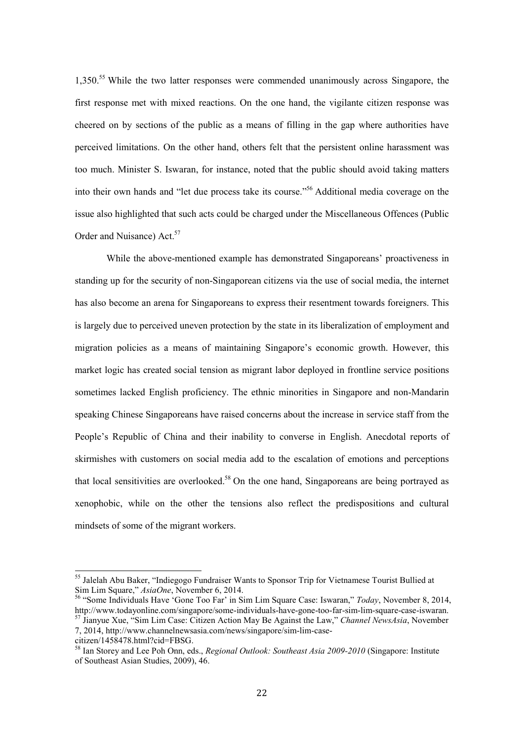1,350.<sup>55</sup> While the two latter responses were commended unanimously across Singapore, the first response met with mixed reactions. On the one hand, the vigilante citizen response was cheered on by sections of the public as a means of filling in the gap where authorities have perceived limitations. On the other hand, others felt that the persistent online harassment was too much. Minister S. Iswaran, for instance, noted that the public should avoid taking matters into their own hands and "let due process take its course."56 Additional media coverage on the issue also highlighted that such acts could be charged under the Miscellaneous Offences (Public Order and Nuisance) Act.<sup>57</sup>

While the above-mentioned example has demonstrated Singaporeans' proactiveness in standing up for the security of non-Singaporean citizens via the use of social media, the internet has also become an arena for Singaporeans to express their resentment towards foreigners. This is largely due to perceived uneven protection by the state in its liberalization of employment and migration policies as a means of maintaining Singapore's economic growth. However, this market logic has created social tension as migrant labor deployed in frontline service positions sometimes lacked English proficiency. The ethnic minorities in Singapore and non-Mandarin speaking Chinese Singaporeans have raised concerns about the increase in service staff from the People's Republic of China and their inability to converse in English. Anecdotal reports of skirmishes with customers on social media add to the escalation of emotions and perceptions that local sensitivities are overlooked.<sup>58</sup> On the one hand, Singaporeans are being portrayed as xenophobic, while on the other the tensions also reflect the predispositions and cultural mindsets of some of the migrant workers.

<sup>&</sup>lt;sup>55</sup> Jalelah Abu Baker, "Indiegogo Fundraiser Wants to Sponsor Trip for Vietnamese Tourist Bullied at Sim Lim Square," *AsiaOne*, November 6, 2014. 56 "Some Individuals Have 'Gone Too Far' in Sim Lim Square Case: Iswaran," *Today*, November 8, 2014,

http://www.todayonline.com/singapore/some-individuals-have-gone-too-far-sim-lim-square-case-iswaran. 57 Jianyue Xue, "Sim Lim Case: Citizen Action May Be Against the Law," *Channel NewsAsia*, November

<sup>7, 2014,</sup> http://www.channelnewsasia.com/news/singapore/sim-lim-case-

citizen/1458478.html?cid=FBSG.

<sup>58</sup> Ian Storey and Lee Poh Onn, eds., *Regional Outlook: Southeast Asia 2009-2010* (Singapore: Institute of Southeast Asian Studies, 2009), 46.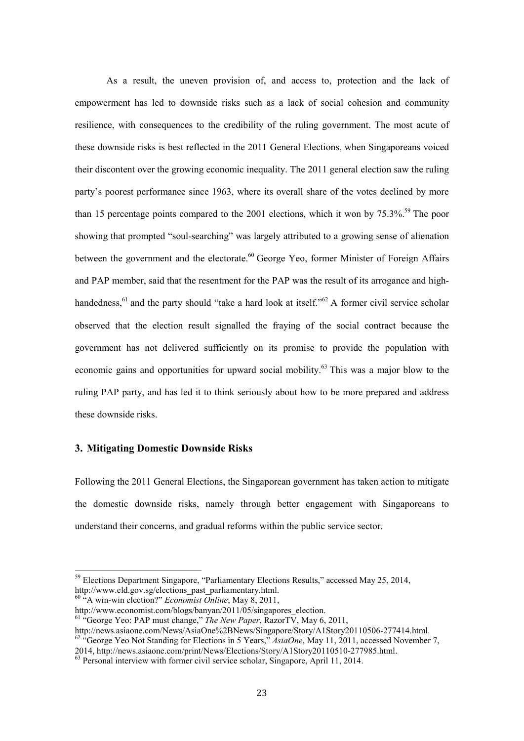As a result, the uneven provision of, and access to, protection and the lack of empowerment has led to downside risks such as a lack of social cohesion and community resilience, with consequences to the credibility of the ruling government. The most acute of these downside risks is best reflected in the 2011 General Elections, when Singaporeans voiced their discontent over the growing economic inequality. The 2011 general election saw the ruling party's poorest performance since 1963, where its overall share of the votes declined by more than 15 percentage points compared to the 2001 elections, which it won by  $75.3\%$ .<sup>59</sup> The poor showing that prompted "soul-searching" was largely attributed to a growing sense of alienation between the government and the electorate.<sup>60</sup> George Yeo, former Minister of Foreign Affairs and PAP member, said that the resentment for the PAP was the result of its arrogance and highhandedness,<sup>61</sup> and the party should "take a hard look at itself."<sup>62</sup> A former civil service scholar observed that the election result signalled the fraying of the social contract because the government has not delivered sufficiently on its promise to provide the population with economic gains and opportunities for upward social mobility.<sup>63</sup> This was a major blow to the ruling PAP party, and has led it to think seriously about how to be more prepared and address these downside risks.

# **3. Mitigating Domestic Downside Risks**

Following the 2011 General Elections, the Singaporean government has taken action to mitigate the domestic downside risks, namely through better engagement with Singaporeans to understand their concerns, and gradual reforms within the public service sector.

<sup>&</sup>lt;sup>59</sup> Elections Department Singapore, "Parliamentary Elections Results," accessed May 25, 2014, http://www.eld.gov.sg/elections\_past\_parliamentary.html.

<sup>&</sup>lt;sup>60</sup> "A win-win election?" *Economist Online*, May 8, 2011,

http://www.economist.com/blogs/banyan/2011/05/singapores\_election.

<sup>61 &</sup>quot;George Yeo: PAP must change," *The New Paper*, RazorTV, May 6, 2011,

http://news.asiaone.com/News/AsiaOne%2BNews/Singapore/Story/A1Story20110506-277414.html. <sup>62</sup> "George Yeo Not Standing for Elections in 5 Years," *AsiaOne*, May 11, 2011, accessed November 7, 2014, http://news.asiaone.com/print/News/Elections/Story/A1Story20110510-277985.html.

 $63$  Personal interview with former civil service scholar, Singapore, April 11, 2014.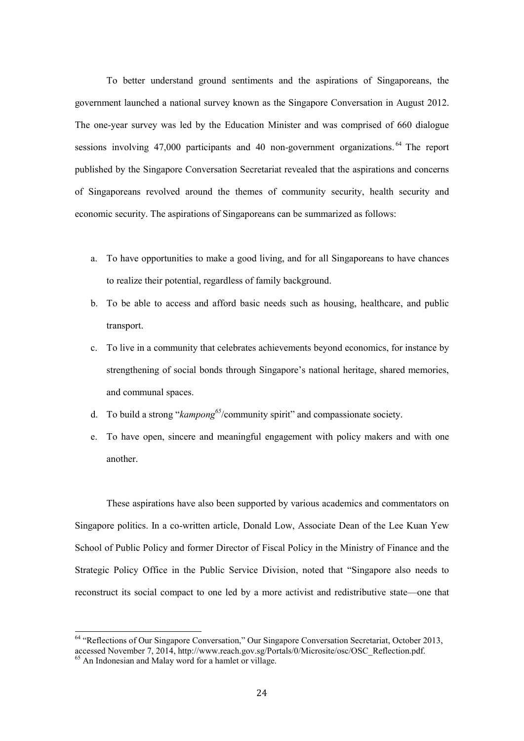To better understand ground sentiments and the aspirations of Singaporeans, the government launched a national survey known as the Singapore Conversation in August 2012. The one-year survey was led by the Education Minister and was comprised of 660 dialogue sessions involving 47,000 participants and 40 non-government organizations.<sup>64</sup> The report published by the Singapore Conversation Secretariat revealed that the aspirations and concerns of Singaporeans revolved around the themes of community security, health security and economic security. The aspirations of Singaporeans can be summarized as follows:

- a. To have opportunities to make a good living, and for all Singaporeans to have chances to realize their potential, regardless of family background.
- b. To be able to access and afford basic needs such as housing, healthcare, and public transport.
- c. To live in a community that celebrates achievements beyond economics, for instance by strengthening of social bonds through Singapore's national heritage, shared memories, and communal spaces.
- d. To build a strong "*kampong*<sup>65</sup>/community spirit" and compassionate society.
- e. To have open, sincere and meaningful engagement with policy makers and with one another.

These aspirations have also been supported by various academics and commentators on Singapore politics. In a co-written article, Donald Low, Associate Dean of the Lee Kuan Yew School of Public Policy and former Director of Fiscal Policy in the Ministry of Finance and the Strategic Policy Office in the Public Service Division, noted that "Singapore also needs to reconstruct its social compact to one led by a more activist and redistributive state—one that

<sup>&</sup>lt;sup>64</sup> "Reflections of Our Singapore Conversation," Our Singapore Conversation Secretariat, October 2013, accessed November 7, 2014, http://www.reach.gov.sg/Portals/0/Microsite/osc/OSC\_Reflection.pdf. <sup>65</sup> An Indonesian and Malay word for a hamlet or village.

<sup>24</sup>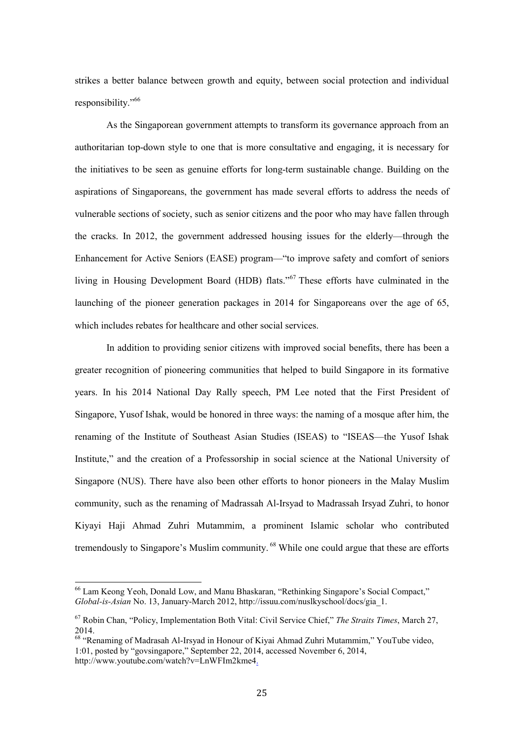strikes a better balance between growth and equity, between social protection and individual responsibility."66

As the Singaporean government attempts to transform its governance approach from an authoritarian top-down style to one that is more consultative and engaging, it is necessary for the initiatives to be seen as genuine efforts for long-term sustainable change. Building on the aspirations of Singaporeans, the government has made several efforts to address the needs of vulnerable sections of society, such as senior citizens and the poor who may have fallen through the cracks. In 2012, the government addressed housing issues for the elderly—through the Enhancement for Active Seniors (EASE) program—"to improve safety and comfort of seniors living in Housing Development Board (HDB) flats."67 These efforts have culminated in the launching of the pioneer generation packages in 2014 for Singaporeans over the age of 65, which includes rebates for healthcare and other social services.

In addition to providing senior citizens with improved social benefits, there has been a greater recognition of pioneering communities that helped to build Singapore in its formative years. In his 2014 National Day Rally speech, PM Lee noted that the First President of Singapore, Yusof Ishak, would be honored in three ways: the naming of a mosque after him, the renaming of the Institute of Southeast Asian Studies (ISEAS) to "ISEAS—the Yusof Ishak Institute," and the creation of a Professorship in social science at the National University of Singapore (NUS). There have also been other efforts to honor pioneers in the Malay Muslim community, such as the renaming of Madrassah Al-Irsyad to Madrassah Irsyad Zuhri, to honor Kiyayi Haji Ahmad Zuhri Mutammim, a prominent Islamic scholar who contributed tremendously to Singapore's Muslim community.<sup>68</sup> While one could argue that these are efforts

<sup>66</sup> Lam Keong Yeoh, Donald Low, and Manu Bhaskaran, "Rethinking Singapore's Social Compact," *Global-is-Asian* No. 13, January-March 2012, http://issuu.com/nuslkyschool/docs/gia\_1.

<sup>67</sup> Robin Chan, "Policy, Implementation Both Vital: Civil Service Chief," *The Straits Times*, March 27, 2014.

<sup>&</sup>lt;sup>68</sup> "Renaming of Madrasah Al-Irsyad in Honour of Kiyai Ahmad Zuhri Mutammim," YouTube video, 1:01, posted by "govsingapore," September 22, 2014, accessed November 6, 2014, http://www.youtube.com/watch?v=LnWFIm2kme4.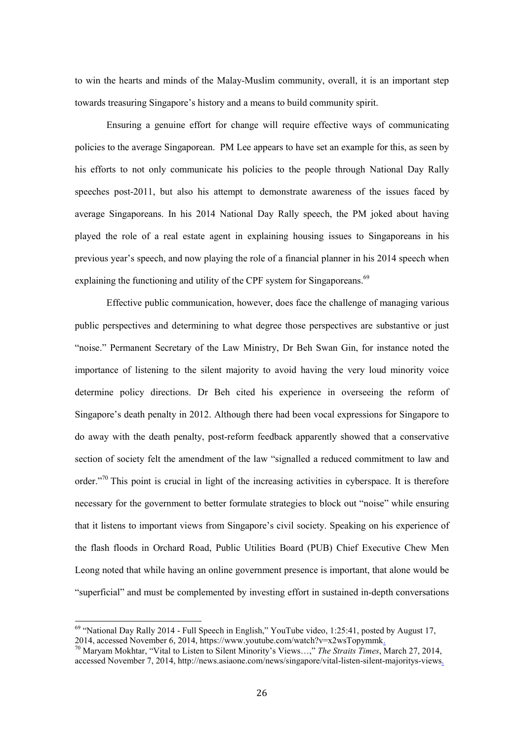to win the hearts and minds of the Malay-Muslim community, overall, it is an important step towards treasuring Singapore's history and a means to build community spirit.

Ensuring a genuine effort for change will require effective ways of communicating policies to the average Singaporean. PM Lee appears to have set an example for this, as seen by his efforts to not only communicate his policies to the people through National Day Rally speeches post-2011, but also his attempt to demonstrate awareness of the issues faced by average Singaporeans. In his 2014 National Day Rally speech, the PM joked about having played the role of a real estate agent in explaining housing issues to Singaporeans in his previous year's speech, and now playing the role of a financial planner in his 2014 speech when explaining the functioning and utility of the CPF system for Singaporeans.<sup>69</sup>

Effective public communication, however, does face the challenge of managing various public perspectives and determining to what degree those perspectives are substantive or just "noise." Permanent Secretary of the Law Ministry, Dr Beh Swan Gin, for instance noted the importance of listening to the silent majority to avoid having the very loud minority voice determine policy directions. Dr Beh cited his experience in overseeing the reform of Singapore's death penalty in 2012. Although there had been vocal expressions for Singapore to do away with the death penalty, post-reform feedback apparently showed that a conservative section of society felt the amendment of the law "signalled a reduced commitment to law and order."<sup>70</sup> This point is crucial in light of the increasing activities in cyberspace. It is therefore necessary for the government to better formulate strategies to block out "noise" while ensuring that it listens to important views from Singapore's civil society. Speaking on his experience of the flash floods in Orchard Road, Public Utilities Board (PUB) Chief Executive Chew Men Leong noted that while having an online government presence is important, that alone would be "superficial" and must be complemented by investing effort in sustained in-depth conversations

 $69$  "National Day Rally 2014 - Full Speech in English," YouTube video, 1:25:41, posted by August 17, 2014, accessed November 6, 2014, https://www.youtube.com/watch?v=x2wsTopymmk. 70 Maryam Mokhtar, "Vital to Listen to Silent Minority's Views…," *The Straits Times*, March 27, 2014,

accessed November 7, 2014, http://news.asiaone.com/news/singapore/vital-listen-silent-majoritys-views.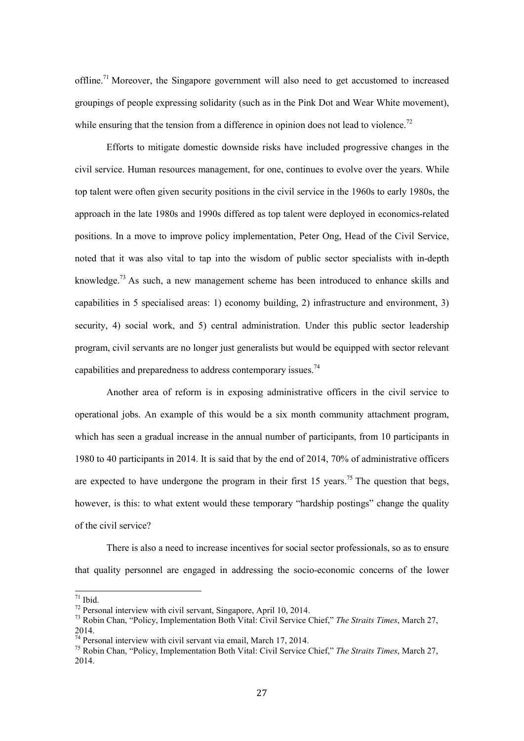offline.<sup>71</sup> Moreover, the Singapore government will also need to get accustomed to increased groupings of people expressing solidarity (such as in the Pink Dot and Wear White movement), while ensuring that the tension from a difference in opinion does not lead to violence.<sup>72</sup>

Efforts to mitigate domestic downside risks have included progressive changes in the civil service. Human resources management, for one, continues to evolve over the years. While top talent were often given security positions in the civil service in the 1960s to early 1980s, the approach in the late 1980s and 1990s differed as top talent were deployed in economics-related positions. In a move to improve policy implementation, Peter Ong, Head of the Civil Service, noted that it was also vital to tap into the wisdom of public sector specialists with in-depth knowledge.<sup>73</sup> As such, a new management scheme has been introduced to enhance skills and capabilities in 5 specialised areas: 1) economy building, 2) infrastructure and environment, 3) security, 4) social work, and 5) central administration. Under this public sector leadership program, civil servants are no longer just generalists but would be equipped with sector relevant capabilities and preparedness to address contemporary issues.<sup>74</sup>

Another area of reform is in exposing administrative officers in the civil service to operational jobs. An example of this would be a six month community attachment program, which has seen a gradual increase in the annual number of participants, from 10 participants in 1980 to 40 participants in 2014. It is said that by the end of 2014, 70% of administrative officers are expected to have undergone the program in their first 15 years.<sup>75</sup> The question that begs, however, is this: to what extent would these temporary "hardship postings" change the quality of the civil service?

There is also a need to increase incentives for social sector professionals, so as to ensure that quality personnel are engaged in addressing the socio-economic concerns of the lower

 $71$  Ibid.

<sup>72</sup> Personal interview with civil servant, Singapore, April 10, 2014.

<sup>73</sup> Robin Chan, "Policy, Implementation Both Vital: Civil Service Chief," *The Straits Times*, March 27, 2014.

 $74$  Personal interview with civil servant via email, March 17, 2014.

<sup>75</sup> Robin Chan, "Policy, Implementation Both Vital: Civil Service Chief," *The Straits Times*, March 27, 2014.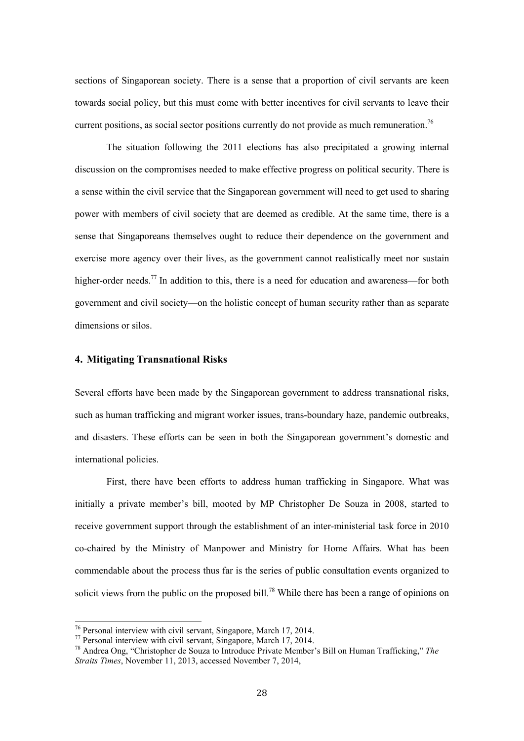sections of Singaporean society. There is a sense that a proportion of civil servants are keen towards social policy, but this must come with better incentives for civil servants to leave their current positions, as social sector positions currently do not provide as much remuneration.<sup>76</sup>

The situation following the 2011 elections has also precipitated a growing internal discussion on the compromises needed to make effective progress on political security. There is a sense within the civil service that the Singaporean government will need to get used to sharing power with members of civil society that are deemed as credible. At the same time, there is a sense that Singaporeans themselves ought to reduce their dependence on the government and exercise more agency over their lives, as the government cannot realistically meet nor sustain higher-order needs.<sup>77</sup> In addition to this, there is a need for education and awareness—for both government and civil society—on the holistic concept of human security rather than as separate dimensions or silos.

#### **4. Mitigating Transnational Risks**

Several efforts have been made by the Singaporean government to address transnational risks, such as human trafficking and migrant worker issues, trans-boundary haze, pandemic outbreaks, and disasters. These efforts can be seen in both the Singaporean government's domestic and international policies.

First, there have been efforts to address human trafficking in Singapore. What was initially a private member's bill, mooted by MP Christopher De Souza in 2008, started to receive government support through the establishment of an inter-ministerial task force in 2010 co-chaired by the Ministry of Manpower and Ministry for Home Affairs. What has been commendable about the process thus far is the series of public consultation events organized to solicit views from the public on the proposed bill.<sup>78</sup> While there has been a range of opinions on

 $76$  Personal interview with civil servant, Singapore, March 17, 2014.

<sup>77</sup> Personal interview with civil servant, Singapore, March 17, 2014.

<sup>78</sup> Andrea Ong, "Christopher de Souza to Introduce Private Member's Bill on Human Trafficking," *The Straits Times*, November 11, 2013, accessed November 7, 2014,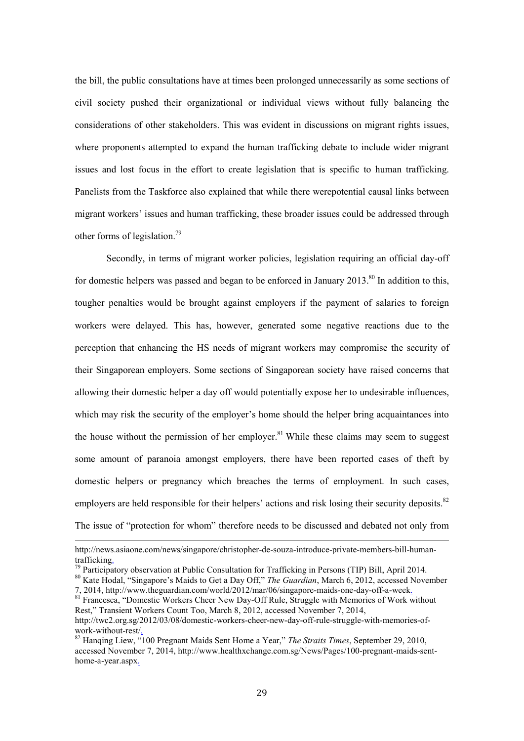the bill, the public consultations have at times been prolonged unnecessarily as some sections of civil society pushed their organizational or individual views without fully balancing the considerations of other stakeholders. This was evident in discussions on migrant rights issues, where proponents attempted to expand the human trafficking debate to include wider migrant issues and lost focus in the effort to create legislation that is specific to human trafficking. Panelists from the Taskforce also explained that while there werepotential causal links between migrant workers' issues and human trafficking, these broader issues could be addressed through other forms of legislation.<sup>79</sup>

Secondly, in terms of migrant worker policies, legislation requiring an official day-off for domestic helpers was passed and began to be enforced in January 2013.<sup>80</sup> In addition to this, tougher penalties would be brought against employers if the payment of salaries to foreign workers were delayed. This has, however, generated some negative reactions due to the perception that enhancing the HS needs of migrant workers may compromise the security of their Singaporean employers. Some sections of Singaporean society have raised concerns that allowing their domestic helper a day off would potentially expose her to undesirable influences, which may risk the security of the employer's home should the helper bring acquaintances into the house without the permission of her employer.<sup>81</sup> While these claims may seem to suggest some amount of paranoia amongst employers, there have been reported cases of theft by domestic helpers or pregnancy which breaches the terms of employment. In such cases, employers are held responsible for their helpers' actions and risk losing their security deposits.<sup>82</sup> The issue of "protection for whom" therefore needs to be discussed and debated not only from

<u>.</u>

http://news.asiaone.com/news/singapore/christopher-de-souza-introduce-private-members-bill-humantrafficking.<br><sup>79</sup> Participatory observation at Public Consultation for Trafficking in Persons (TIP) Bill, April 2014.<br><sup>80</sup> Kate Hodal, "Singapore's Maids to Get a Day Off," *The Guardian*, March 6, 2012, accessed November

<sup>7, 2014,</sup> http://www.theguardian.com/world/2012/mar/06/singapore-maids-one-day-off-a-week. <sup>81</sup> Francesca, "Domestic Workers Cheer New Day-Off Rule, Struggle with Memories of Work without

Rest," Transient Workers Count Too, March 8, 2012, accessed November 7, 2014,

http://twc2.org.sg/2012/03/08/domestic-workers-cheer-new-day-off-rule-struggle-with-memories-ofwork-without-rest/. 82 Hanqing Liew, "100 Pregnant Maids Sent Home a Year," *The Straits Times*, September 29, 2010,

accessed November 7, 2014, http://www.healthxchange.com.sg/News/Pages/100-pregnant-maids-senthome-a-year.aspx.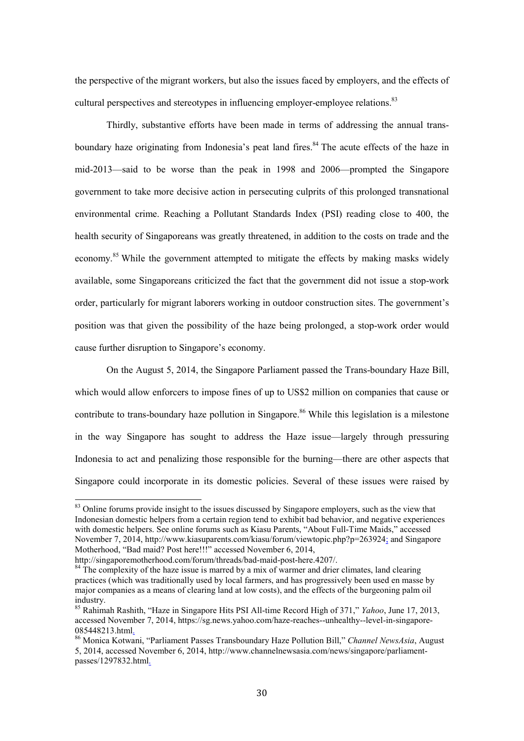the perspective of the migrant workers, but also the issues faced by employers, and the effects of cultural perspectives and stereotypes in influencing employer-employee relations.<sup>83</sup>

Thirdly, substantive efforts have been made in terms of addressing the annual transboundary haze originating from Indonesia's peat land fires.<sup>84</sup> The acute effects of the haze in mid-2013—said to be worse than the peak in 1998 and 2006—prompted the Singapore government to take more decisive action in persecuting culprits of this prolonged transnational environmental crime. Reaching a Pollutant Standards Index (PSI) reading close to 400, the health security of Singaporeans was greatly threatened, in addition to the costs on trade and the economy.<sup>85</sup> While the government attempted to mitigate the effects by making masks widely available, some Singaporeans criticized the fact that the government did not issue a stop-work order, particularly for migrant laborers working in outdoor construction sites. The government's position was that given the possibility of the haze being prolonged, a stop-work order would cause further disruption to Singapore's economy.

On the August 5, 2014, the Singapore Parliament passed the Trans-boundary Haze Bill, which would allow enforcers to impose fines of up to US\$2 million on companies that cause or contribute to trans-boundary haze pollution in Singapore.<sup>86</sup> While this legislation is a milestone in the way Singapore has sought to address the Haze issue—largely through pressuring Indonesia to act and penalizing those responsible for the burning—there are other aspects that Singapore could incorporate in its domestic policies. Several of these issues were raised by

<sup>&</sup>lt;sup>83</sup> Online forums provide insight to the issues discussed by Singapore employers, such as the view that Indonesian domestic helpers from a certain region tend to exhibit bad behavior, and negative experiences with domestic helpers. See online forums such as Kiasu Parents, "About Full-Time Maids," accessed November 7, 2014, http://www.kiasuparents.com/kiasu/forum/viewtopic.php?p=263924; and Singapore Motherhood, "Bad maid? Post here!!!" accessed November 6, 2014,

http://singaporemotherhood.com/forum/threads/bad-maid-post-here.4207/.

 $84$  The complexity of the haze issue is marred by a mix of warmer and drier climates, land clearing practices (which was traditionally used by local farmers, and has progressively been used en masse by major companies as a means of clearing land at low costs), and the effects of the burgeoning palm oil industry.

<sup>85</sup> Rahimah Rashith, "Haze in Singapore Hits PSI All-time Record High of 371," *Yahoo*, June 17, 2013, accessed November 7, 2014, https://sg.news.yahoo.com/haze-reaches--unhealthy--level-in-singapore-085448213.html<u>.</u><br><sup>86</sup> Monica Kotwani, "Parliament Passes Transboundary Haze Pollution Bill," *Channel NewsAsia*, August

<sup>5, 2014,</sup> accessed November 6, 2014, http://www.channelnewsasia.com/news/singapore/parliamentpasses/1297832.html.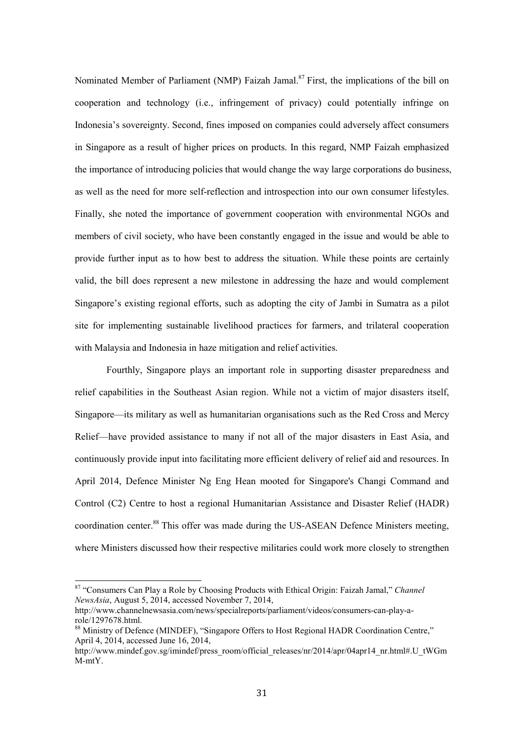Nominated Member of Parliament (NMP) Faizah Jamal.<sup>87</sup> First, the implications of the bill on cooperation and technology (i.e., infringement of privacy) could potentially infringe on Indonesia's sovereignty. Second, fines imposed on companies could adversely affect consumers in Singapore as a result of higher prices on products. In this regard, NMP Faizah emphasized the importance of introducing policies that would change the way large corporations do business, as well as the need for more self-reflection and introspection into our own consumer lifestyles. Finally, she noted the importance of government cooperation with environmental NGOs and members of civil society, who have been constantly engaged in the issue and would be able to provide further input as to how best to address the situation. While these points are certainly valid, the bill does represent a new milestone in addressing the haze and would complement Singapore's existing regional efforts, such as adopting the city of Jambi in Sumatra as a pilot site for implementing sustainable livelihood practices for farmers, and trilateral cooperation with Malaysia and Indonesia in haze mitigation and relief activities.

Fourthly, Singapore plays an important role in supporting disaster preparedness and relief capabilities in the Southeast Asian region. While not a victim of major disasters itself, Singapore—its military as well as humanitarian organisations such as the Red Cross and Mercy Relief—have provided assistance to many if not all of the major disasters in East Asia, and continuously provide input into facilitating more efficient delivery of relief aid and resources. In April 2014, Defence Minister Ng Eng Hean mooted for Singapore's Changi Command and Control (C2) Centre to host a regional Humanitarian Assistance and Disaster Relief (HADR) coordination center.<sup>88</sup> This offer was made during the US-ASEAN Defence Ministers meeting, where Ministers discussed how their respective militaries could work more closely to strengthen

<u>.</u>

<sup>87 &</sup>quot;Consumers Can Play a Role by Choosing Products with Ethical Origin: Faizah Jamal," *Channel NewsAsia*, August 5, 2014, accessed November 7, 2014,

http://www.channelnewsasia.com/news/specialreports/parliament/videos/consumers-can-play-arole/1297678.html.

<sup>&</sup>lt;sup>88</sup> Ministry of Defence (MINDEF), "Singapore Offers to Host Regional HADR Coordination Centre," April 4, 2014, accessed June 16, 2014,

http://www.mindef.gov.sg/imindef/press\_room/official\_releases/nr/2014/apr/04apr14\_nr.html#.U\_tWGm M-mtY.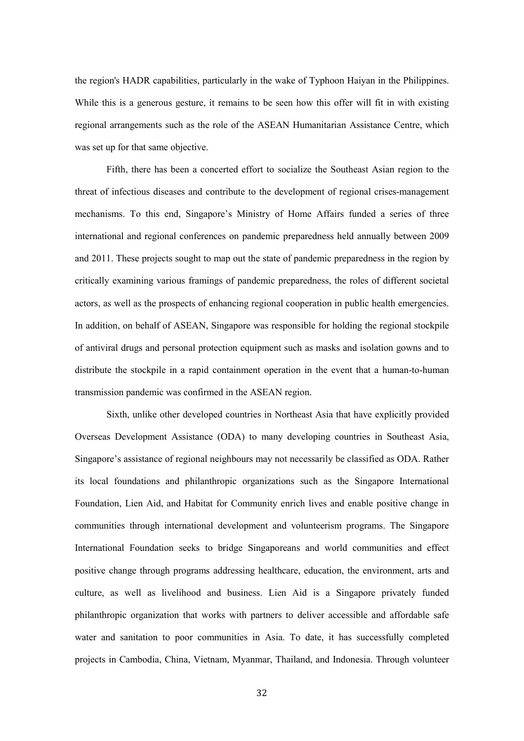the region's HADR capabilities, particularly in the wake of Typhoon Haiyan in the Philippines. While this is a generous gesture, it remains to be seen how this offer will fit in with existing regional arrangements such as the role of the ASEAN Humanitarian Assistance Centre, which was set up for that same objective.

Fifth, there has been a concerted effort to socialize the Southeast Asian region to the threat of infectious diseases and contribute to the development of regional crises-management mechanisms. To this end, Singapore's Ministry of Home Affairs funded a series of three international and regional conferences on pandemic preparedness held annually between 2009 and 2011. These projects sought to map out the state of pandemic preparedness in the region by critically examining various framings of pandemic preparedness, the roles of different societal actors, as well as the prospects of enhancing regional cooperation in public health emergencies. In addition, on behalf of ASEAN, Singapore was responsible for holding the regional stockpile of antiviral drugs and personal protection equipment such as masks and isolation gowns and to distribute the stockpile in a rapid containment operation in the event that a human-to-human transmission pandemic was confirmed in the ASEAN region.

Sixth, unlike other developed countries in Northeast Asia that have explicitly provided Overseas Development Assistance (ODA) to many developing countries in Southeast Asia, Singapore's assistance of regional neighbours may not necessarily be classified as ODA. Rather its local foundations and philanthropic organizations such as the Singapore International Foundation, Lien Aid, and Habitat for Community enrich lives and enable positive change in communities through international development and volunteerism programs. The Singapore International Foundation seeks to bridge Singaporeans and world communities and effect positive change through programs addressing healthcare, education, the environment, arts and culture, as well as livelihood and business. Lien Aid is a Singapore privately funded philanthropic organization that works with partners to deliver accessible and affordable safe water and sanitation to poor communities in Asia. To date, it has successfully completed projects in Cambodia, China, Vietnam, Myanmar, Thailand, and Indonesia. Through volunteer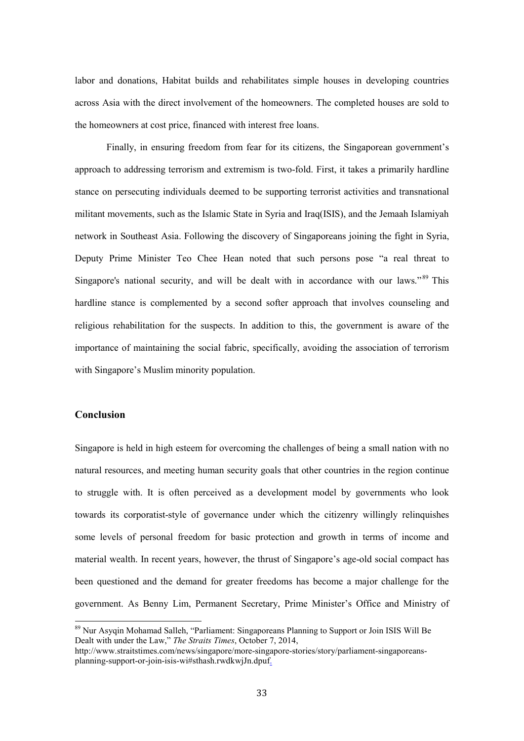labor and donations, Habitat builds and rehabilitates simple houses in developing countries across Asia with the direct involvement of the homeowners. The completed houses are sold to the homeowners at cost price, financed with interest free loans.

 Finally, in ensuring freedom from fear for its citizens, the Singaporean government's approach to addressing terrorism and extremism is two-fold. First, it takes a primarily hardline stance on persecuting individuals deemed to be supporting terrorist activities and transnational militant movements, such as the Islamic State in Syria and Iraq(ISIS), and the Jemaah Islamiyah network in Southeast Asia. Following the discovery of Singaporeans joining the fight in Syria, Deputy Prime Minister Teo Chee Hean noted that such persons pose "a real threat to Singapore's national security, and will be dealt with in accordance with our laws."<sup>89</sup> This hardline stance is complemented by a second softer approach that involves counseling and religious rehabilitation for the suspects. In addition to this, the government is aware of the importance of maintaining the social fabric, specifically, avoiding the association of terrorism with Singapore's Muslim minority population.

### **Conclusion**

-

Singapore is held in high esteem for overcoming the challenges of being a small nation with no natural resources, and meeting human security goals that other countries in the region continue to struggle with. It is often perceived as a development model by governments who look towards its corporatist-style of governance under which the citizenry willingly relinquishes some levels of personal freedom for basic protection and growth in terms of income and material wealth. In recent years, however, the thrust of Singapore's age-old social compact has been questioned and the demand for greater freedoms has become a major challenge for the government. As Benny Lim, Permanent Secretary, Prime Minister's Office and Ministry of

<sup>&</sup>lt;sup>89</sup> Nur Asyqin Mohamad Salleh, "Parliament: Singaporeans Planning to Support or Join ISIS Will Be Dealt with under the Law," *The Straits Times*, October 7, 2014,

http://www.straitstimes.com/news/singapore/more-singapore-stories/story/parliament-singaporeansplanning-support-or-join-isis-wi#sthash.rwdkwjJn.dpuf.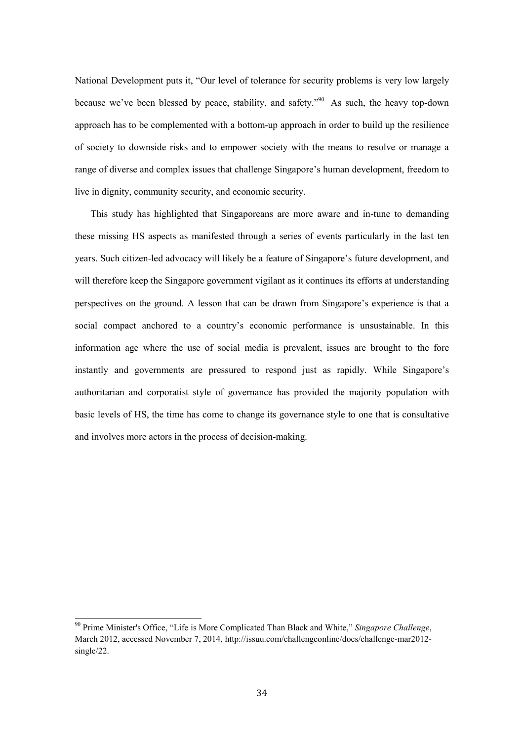National Development puts it, "Our level of tolerance for security problems is very low largely because we've been blessed by peace, stability, and safety."90 As such, the heavy top-down approach has to be complemented with a bottom-up approach in order to build up the resilience of society to downside risks and to empower society with the means to resolve or manage a range of diverse and complex issues that challenge Singapore's human development, freedom to live in dignity, community security, and economic security.

This study has highlighted that Singaporeans are more aware and in-tune to demanding these missing HS aspects as manifested through a series of events particularly in the last ten years. Such citizen-led advocacy will likely be a feature of Singapore's future development, and will therefore keep the Singapore government vigilant as it continues its efforts at understanding perspectives on the ground. A lesson that can be drawn from Singapore's experience is that a social compact anchored to a country's economic performance is unsustainable. In this information age where the use of social media is prevalent, issues are brought to the fore instantly and governments are pressured to respond just as rapidly. While Singapore's authoritarian and corporatist style of governance has provided the majority population with basic levels of HS, the time has come to change its governance style to one that is consultative and involves more actors in the process of decision-making.

<u>.</u>

<sup>90</sup> Prime Minister's Office, "Life is More Complicated Than Black and White," *Singapore Challenge*, March 2012, accessed November 7, 2014, http://issuu.com/challengeonline/docs/challenge-mar2012 single/22.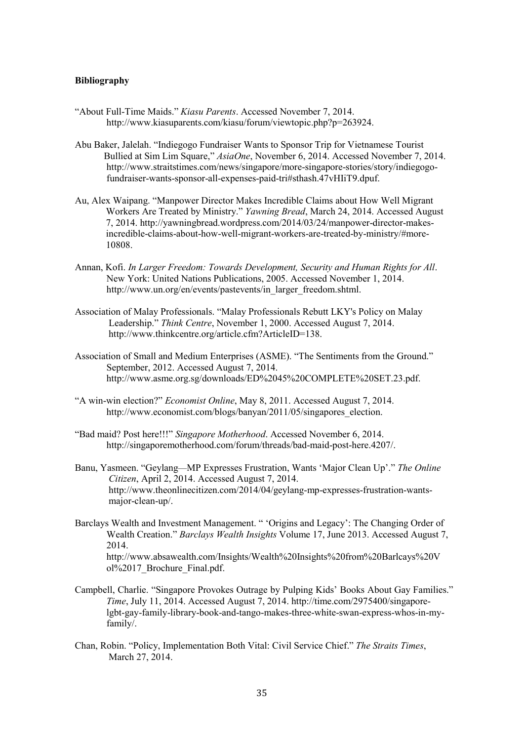#### **Bibliography**

- "About Full-Time Maids." *Kiasu Parents*. Accessed November 7, 2014. http://www.kiasuparents.com/kiasu/forum/viewtopic.php?p=263924.
- Abu Baker, Jalelah. "Indiegogo Fundraiser Wants to Sponsor Trip for Vietnamese Tourist Bullied at Sim Lim Square," *AsiaOne*, November 6, 2014. Accessed November 7, 2014. http://www.straitstimes.com/news/singapore/more-singapore-stories/story/indiegogo fundraiser-wants-sponsor-all-expenses-paid-tri#sthash.47vHIiT9.dpuf.
- Au, Alex Waipang. "Manpower Director Makes Incredible Claims about How Well Migrant Workers Are Treated by Ministry." *Yawning Bread*, March 24, 2014. Accessed August 7, 2014. http://yawningbread.wordpress.com/2014/03/24/manpower-director-makesincredible-claims-about-how-well-migrant-workers-are-treated-by-ministry/#more-10808.
- Annan, Kofi. *In Larger Freedom: Towards Development, Security and Human Rights for All*. New York: United Nations Publications, 2005. Accessed November 1, 2014. http://www.un.org/en/events/pastevents/in\_larger\_freedom.shtml.
- Association of Malay Professionals. "Malay Professionals Rebutt LKY's Policy on Malay Leadership." *Think Centre*, November 1, 2000. Accessed August 7, 2014. http://www.thinkcentre.org/article.cfm?ArticleID=138.
- Association of Small and Medium Enterprises (ASME). "The Sentiments from the Ground." September, 2012. Accessed August 7, 2014. http://www.asme.org.sg/downloads/ED%2045%20COMPLETE%20SET.23.pdf.
- "A win-win election?" *Economist Online*, May 8, 2011. Accessed August 7, 2014. http://www.economist.com/blogs/banyan/2011/05/singapores election.
- "Bad maid? Post here!!!" *Singapore Motherhood*. Accessed November 6, 2014. http://singaporemotherhood.com/forum/threads/bad-maid-post-here.4207/.
- Banu, Yasmeen. "Geylang—MP Expresses Frustration, Wants 'Major Clean Up'." *The Online Citizen*, April 2, 2014. Accessed August 7, 2014. http://www.theonlinecitizen.com/2014/04/geylang-mp-expresses-frustration-wantsmajor-clean-up/.
- Barclays Wealth and Investment Management. " 'Origins and Legacy': The Changing Order of Wealth Creation." *Barclays Wealth Insights* Volume 17, June 2013. Accessed August 7, 2014. http://www.absawealth.com/Insights/Wealth%20Insights%20from%20Barlcays%20V ol%2017\_Brochure\_Final.pdf.
- Campbell, Charlie. "Singapore Provokes Outrage by Pulping Kids' Books About Gay Families." *Time*, July 11, 2014. Accessed August 7, 2014. http://time.com/2975400/singapore lgbt-gay-family-library-book-and-tango-makes-three-white-swan-express-whos-in-my family/.
- Chan, Robin. "Policy, Implementation Both Vital: Civil Service Chief." *The Straits Times*, March 27, 2014.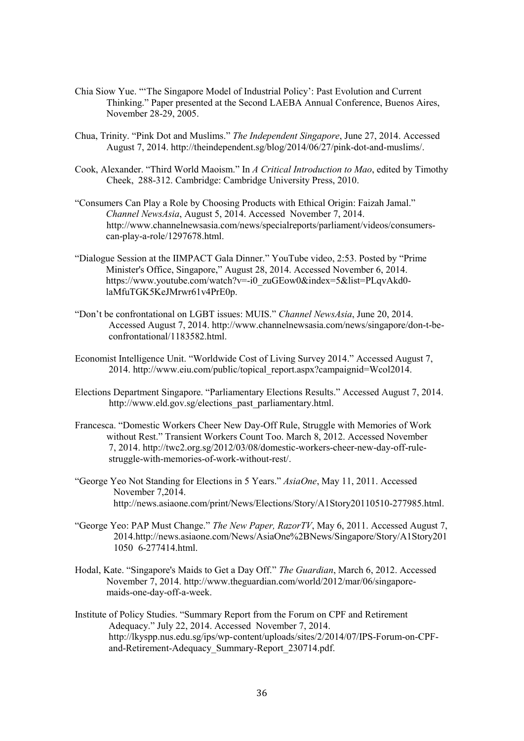- Chia Siow Yue. "'The Singapore Model of Industrial Policy': Past Evolution and Current Thinking." Paper presented at the Second LAEBA Annual Conference, Buenos Aires, November 28-29, 2005.
- Chua, Trinity. "Pink Dot and Muslims." *The Independent Singapore*, June 27, 2014. Accessed August 7, 2014. http://theindependent.sg/blog/2014/06/27/pink-dot-and-muslims/.
- Cook, Alexander. "Third World Maoism." In *A Critical Introduction to Mao*, edited by Timothy Cheek, 288-312. Cambridge: Cambridge University Press, 2010.
- "Consumers Can Play a Role by Choosing Products with Ethical Origin: Faizah Jamal." *Channel NewsAsia*, August 5, 2014. Accessed November 7, 2014. http://www.channelnewsasia.com/news/specialreports/parliament/videos/consumerscan-play-a-role/1297678.html.
- "Dialogue Session at the IIMPACT Gala Dinner." YouTube video, 2:53. Posted by "Prime Minister's Office, Singapore," August 28, 2014. Accessed November 6, 2014. https://www.youtube.com/watch?v=-i0\_zuGEow0&index=5&list=PLqvAkd0laMfuTGK5KeJMrwr61v4PrE0p.
- "Don't be confrontational on LGBT issues: MUIS." *Channel NewsAsia*, June 20, 2014. Accessed August 7, 2014. http://www.channelnewsasia.com/news/singapore/don-t-beconfrontational/1183582.html.
- Economist Intelligence Unit. "Worldwide Cost of Living Survey 2014." Accessed August 7, 2014. http://www.eiu.com/public/topical\_report.aspx?campaignid=Wcol2014.
- Elections Department Singapore. "Parliamentary Elections Results." Accessed August 7, 2014. http://www.eld.gov.sg/elections\_past\_parliamentary.html.
- Francesca. "Domestic Workers Cheer New Day-Off Rule, Struggle with Memories of Work without Rest." Transient Workers Count Too. March 8, 2012. Accessed November 7, 2014. http://twc2.org.sg/2012/03/08/domestic-workers-cheer-new-day-off-rulestruggle-with-memories-of-work-without-rest/.
- "George Yeo Not Standing for Elections in 5 Years." *AsiaOne*, May 11, 2011. Accessed November 7,2014. http://news.asiaone.com/print/News/Elections/Story/A1Story20110510-277985.html.
- "George Yeo: PAP Must Change." *The New Paper, RazorTV*, May 6, 2011. Accessed August 7, 2014.http://news.asiaone.com/News/AsiaOne%2BNews/Singapore/Story/A1Story201 1050 6-277414.html.
- Hodal, Kate. "Singapore's Maids to Get a Day Off." *The Guardian*, March 6, 2012. Accessed November 7, 2014. http://www.theguardian.com/world/2012/mar/06/singapore maids-one-day-off-a-week.
- Institute of Policy Studies. "Summary Report from the Forum on CPF and Retirement Adequacy." July 22, 2014. Accessed November 7, 2014. http://lkyspp.nus.edu.sg/ips/wp- content/uploads/sites/2/2014/07/IPS-Forum-on-CPFand-Retirement-Adequacy\_Summary-Report\_230714.pdf.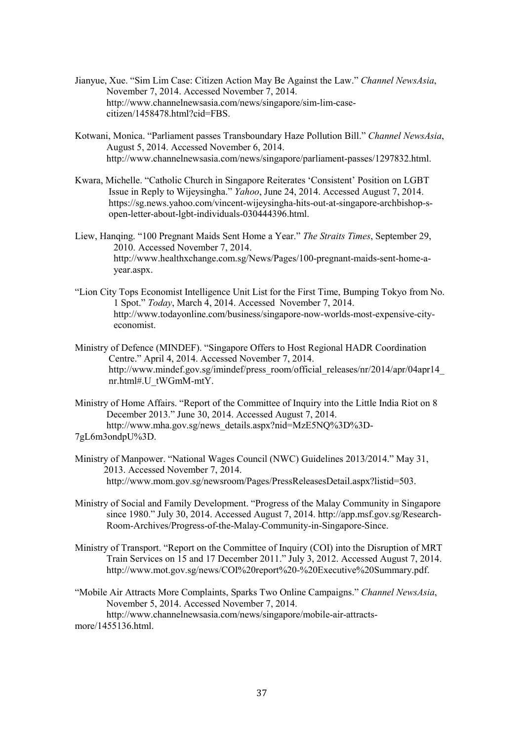- Jianyue, Xue. "Sim Lim Case: Citizen Action May Be Against the Law." *Channel NewsAsia*, November 7, 2014. Accessed November 7, 2014. http://www.channelnewsasia.com/news/singapore/sim-lim-case citizen/1458478.html?cid=FBS.
- Kotwani, Monica. "Parliament passes Transboundary Haze Pollution Bill." *Channel NewsAsia*, August 5, 2014. Accessed November 6, 2014. http://www.channelnewsasia.com/news/singapore/parliament-passes/1297832.html.
- Kwara, Michelle. "Catholic Church in Singapore Reiterates 'Consistent' Position on LGBT Issue in Reply to Wijeysingha." *Yahoo*, June 24, 2014. Accessed August 7, 2014. https://sg.news.yahoo.com/vincent-wijeysingha-hits-out-at-singapore-archbishop-sopen-letter-about-lgbt-individuals-030444396.html.
- Liew, Hanqing. "100 Pregnant Maids Sent Home a Year." *The Straits Times*, September 29, 2010. Accessed November 7, 2014. http://www.healthxchange.com.sg/News/Pages/100-pregnant-maids-sent-home-ayear.aspx.
- "Lion City Tops Economist Intelligence Unit List for the First Time, Bumping Tokyo from No. 1 Spot." *Today*, March 4, 2014. Accessed November 7, 2014. http://www.todayonline.com/business/singapore-now-worlds-most-expensive-cityeconomist.
- Ministry of Defence (MINDEF). "Singapore Offers to Host Regional HADR Coordination Centre." April 4, 2014. Accessed November 7, 2014. http://www.mindef.gov.sg/imindef/press\_room/official\_releases/nr/2014/apr/04apr14 nr.html#.U\_tWGmM-mtY.
- Ministry of Home Affairs. "Report of the Committee of Inquiry into the Little India Riot on 8 December 2013." June 30, 2014. Accessed August 7, 2014. http://www.mha.gov.sg/news\_details.aspx?nid=MzE5NQ%3D%3D-7gL6m3ondpU%3D.
- Ministry of Manpower. "National Wages Council (NWC) Guidelines 2013/2014." May 31, 2013. Accessed November 7, 2014. http://www.mom.gov.sg/newsroom/Pages/PressReleasesDetail.aspx?listid=503.
- Ministry of Social and Family Development. "Progress of the Malay Community in Singapore since 1980." July 30, 2014. Accessed August 7, 2014. http://app.msf.gov.sg/Research- Room-Archives/Progress-of-the-Malay-Community-in-Singapore-Since.
- Ministry of Transport. "Report on the Committee of Inquiry (COI) into the Disruption of MRT Train Services on 15 and 17 December 2011." July 3, 2012. Accessed August 7, 2014. http://www.mot.gov.sg/news/COI%20report%20-%20Executive%20Summary.pdf.
- "Mobile Air Attracts More Complaints, Sparks Two Online Campaigns." *Channel NewsAsia*, November 5, 2014. Accessed November 7, 2014. http://www.channelnewsasia.com/news/singapore/mobile-air-attractsmore/ $1455\overline{1}36$  html.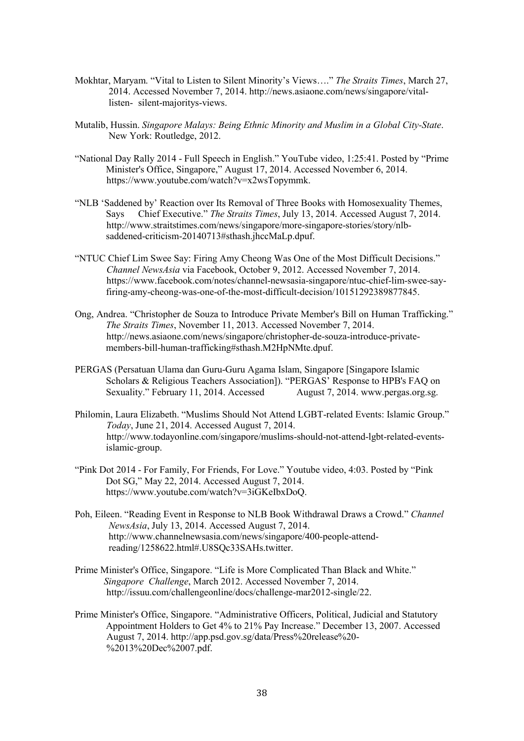- Mokhtar, Maryam. "Vital to Listen to Silent Minority's Views…." *The Straits Times*, March 27, 2014. Accessed November 7, 2014. http://news.asiaone.com/news/singapore/vitallisten- silent-majoritys-views.
- Mutalib, Hussin. *Singapore Malays: Being Ethnic Minority and Muslim in a Global City-State*. New York: Routledge, 2012.
- "National Day Rally 2014 Full Speech in English." YouTube video, 1:25:41. Posted by "Prime Minister's Office, Singapore," August 17, 2014. Accessed November 6, 2014. https://www.youtube.com/watch?v=x2wsTopymmk.
- "NLB 'Saddened by' Reaction over Its Removal of Three Books with Homosexuality Themes, Says Chief Executive." *The Straits Times*, July 13, 2014. Accessed August 7, 2014. http://www.straitstimes.com/news/singapore/more-singapore-stories/story/nlbsaddened-criticism-20140713#sthash.jhccMaLp.dpuf.
- "NTUC Chief Lim Swee Say: Firing Amy Cheong Was One of the Most Difficult Decisions." *Channel NewsAsia* via Facebook, October 9, 2012. Accessed November 7, 2014. https://www.facebook.com/notes/channel-newsasia-singapore/ntuc-chief-lim-swee-sayfiring-amy-cheong-was-one-of-the-most-difficult-decision/10151292389877845.
- Ong, Andrea. "Christopher de Souza to Introduce Private Member's Bill on Human Trafficking." *The Straits Times*, November 11, 2013. Accessed November 7, 2014. http://news.asiaone.com/news/singapore/christopher-de-souza-introduce-privatemembers-bill-human-trafficking#sthash.M2HpNMte.dpuf.
- PERGAS (Persatuan Ulama dan Guru-Guru Agama Islam, Singapore [Singapore Islamic Scholars & Religious Teachers Association]). "PERGAS' Response to HPB's FAQ on Sexuality." February 11, 2014. Accessed August 7, 2014. www.pergas.org.sg.
- Philomin, Laura Elizabeth. "Muslims Should Not Attend LGBT-related Events: Islamic Group." *Today*, June 21, 2014. Accessed August 7, 2014. http://www.todayonline.com/singapore/muslims-should-not-attend-lgbt-related-eventsislamic-group.
- "Pink Dot 2014 For Family, For Friends, For Love." Youtube video, 4:03. Posted by "Pink Dot SG," May 22, 2014. Accessed August 7, 2014. https://www.youtube.com/watch?v=3iGKeIbxDoQ.
- Poh, Eileen. "Reading Event in Response to NLB Book Withdrawal Draws a Crowd." *Channel NewsAsia*, July 13, 2014. Accessed August 7, 2014. http://www.channelnewsasia.com/news/singapore/400-people-attendreading/1258622.html#.U8SQc33SAHs.twitter.
- Prime Minister's Office, Singapore. "Life is More Complicated Than Black and White." *Singapore Challenge*, March 2012. Accessed November 7, 2014. http://issuu.com/challengeonline/docs/challenge-mar2012-single/22.
- Prime Minister's Office, Singapore. "Administrative Officers, Political, Judicial and Statutory Appointment Holders to Get 4% to 21% Pay Increase." December 13, 2007. Accessed August 7, 2014. http://app.psd.gov.sg/data/Press%20release%20- %2013%20Dec%2007.pdf.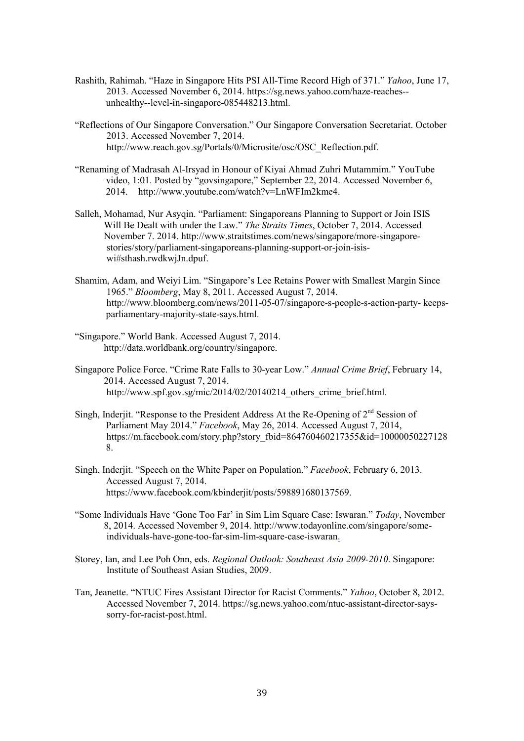- Rashith, Rahimah. "Haze in Singapore Hits PSI All-Time Record High of 371." *Yahoo*, June 17, 2013. Accessed November 6, 2014. https://sg.news.yahoo.com/haze-reaches- unhealthy--level-in-singapore-085448213.html.
- "Reflections of Our Singapore Conversation." Our Singapore Conversation Secretariat. October 2013. Accessed November 7, 2014. http://www.reach.gov.sg/Portals/0/Microsite/osc/OSC\_Reflection.pdf.
- "Renaming of Madrasah Al-Irsyad in Honour of Kiyai Ahmad Zuhri Mutammim." YouTube video, 1:01. Posted by "govsingapore," September 22, 2014. Accessed November 6, 2014. http://www.youtube.com/watch?v=LnWFIm2kme4.
- Salleh, Mohamad, Nur Asyqin. "Parliament: Singaporeans Planning to Support or Join ISIS Will Be Dealt with under the Law." *The Straits Times*, October 7, 2014. Accessed November 7. 2014. http://www.straitstimes.com/news/singapore/more-singapore stories/story/parliament-singaporeans-planning-support-or-join-isis wi#sthash.rwdkwjJn.dpuf.
- Shamim, Adam, and Weiyi Lim. "Singapore's Lee Retains Power with Smallest Margin Since 1965." *Bloomberg*, May 8, 2011. Accessed August 7, 2014. http://www.bloomberg.com/news/2011-05-07/singapore-s-people-s-action-party- keepsparliamentary-majority-state-says.html.
- "Singapore." World Bank. Accessed August 7, 2014. http://data.worldbank.org/country/singapore.
- Singapore Police Force. "Crime Rate Falls to 30-year Low." *Annual Crime Brief*, February 14, 2014. Accessed August 7, 2014. http://www.spf.gov.sg/mic/2014/02/20140214\_others\_crime\_brief.html.
- Singh, Inderjit. "Response to the President Address At the Re-Opening of  $2<sup>nd</sup>$  Session of Parliament May 2014." *Facebook*, May 26, 2014. Accessed August 7, 2014, https://m.facebook.com/story.php?story\_fbid=864760460217355&id=10000050227128 8.
- Singh, Inderjit. "Speech on the White Paper on Population." *Facebook*, February 6, 2013. Accessed August 7, 2014. https://www.facebook.com/kbinderjit/posts/598891680137569.
- "Some Individuals Have 'Gone Too Far' in Sim Lim Square Case: Iswaran." *Today*, November 8, 2014. Accessed November 9, 2014. http://www.todayonline.com/singapore/some individuals-have-gone-too-far-sim-lim-square-case-iswaran.
- Storey, Ian, and Lee Poh Onn, eds. *Regional Outlook: Southeast Asia 2009-2010*. Singapore: Institute of Southeast Asian Studies, 2009.
- Tan, Jeanette. "NTUC Fires Assistant Director for Racist Comments." *Yahoo*, October 8, 2012. Accessed November 7, 2014. https://sg.news.yahoo.com/ntuc-assistant-director-says sorry-for-racist-post.html.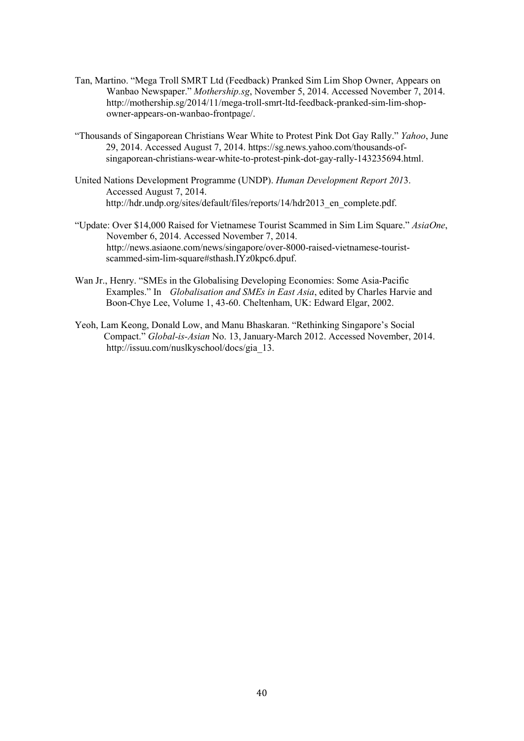- Tan, Martino. "Mega Troll SMRT Ltd (Feedback) Pranked Sim Lim Shop Owner, Appears on Wanbao Newspaper." *Mothership.sg*, November 5, 2014. Accessed November 7, 2014. http://mothership.sg/2014/11/mega-troll-smrt-ltd-feedback-pranked-sim-lim-shop owner-appears-on-wanbao-frontpage/.
- "Thousands of Singaporean Christians Wear White to Protest Pink Dot Gay Rally." *Yahoo*, June 29, 2014. Accessed August 7, 2014. https://sg.news.yahoo.com/thousands-ofsingaporean-christians-wear-white-to-protest-pink-dot-gay-rally-143235694.html.
- United Nations Development Programme (UNDP). *Human Development Report 201*3. Accessed August 7, 2014. http://hdr.undp.org/sites/default/files/reports/14/hdr2013\_en\_complete.pdf.
- "Update: Over \$14,000 Raised for Vietnamese Tourist Scammed in Sim Lim Square." *AsiaOne*, November 6, 2014. Accessed November 7, 2014. http://news.asiaone.com/news/singapore/over-8000-raised-vietnamese-touristscammed-sim-lim-square#sthash.IYz0kpc6.dpuf.
- Wan Jr., Henry. "SMEs in the Globalising Developing Economies: Some Asia-Pacific Examples." In *Globalisation and SMEs in East Asia*, edited by Charles Harvie and Boon-Chye Lee, Volume 1, 43-60. Cheltenham, UK: Edward Elgar, 2002.
- Yeoh, Lam Keong, Donald Low, and Manu Bhaskaran. "Rethinking Singapore's Social Compact." *Global-is-Asian* No. 13, January-March 2012. Accessed November, 2014. http://issuu.com/nuslkyschool/docs/gia\_13.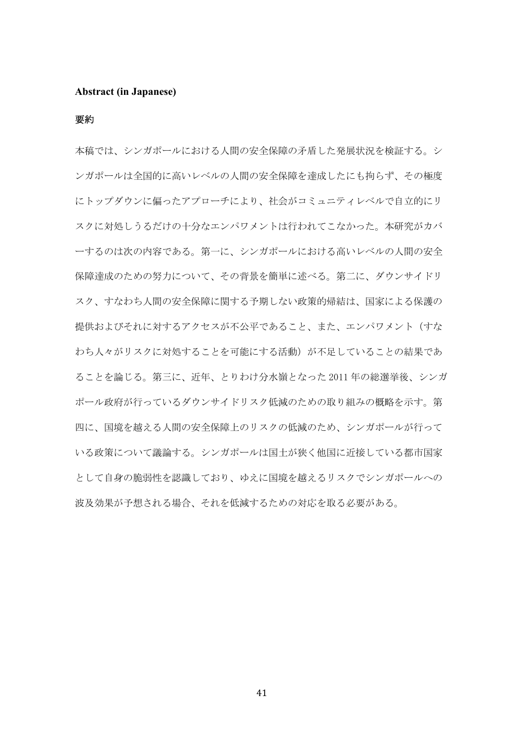#### **Abstract (in Japanese)**

#### 要約

本稿では、シンガポールにおける人間の安全保障の矛盾した発展状況を検証する。シ ンガポールは全国的に高いレベルの人間の安全保障を達成したにも拘らず、その極度 にトップダウンに偏ったアプローチにより、社会がコミュニティレベルで自立的にリ スクに対処しうるだけの十分なエンパワメントは行われてこなかった。本研究がカバ ーするのは次の内容である。第一に、シンガポールにおける高いレベルの人間の安全 保障達成のための努力について、その背景を簡単に述べる。第二に、ダウンサイドリ スク、すなわち人間の安全保障に関する予期しない政策的帰結は、国家による保護の 提供およびそれに対するアクセスが不公平であること、また、エンパワメント(すな わち人々がリスクに対処することを可能にする活動)が不足していることの結果であ ることを論じる。第三に、近年、とりわけ分水嶺となった 2011 年の総選挙後、シンガ ポール政府が行っているダウンサイドリスク低減のための取り組みの概略を示す。第 四に、国境を越える人間の安全保障上のリスクの低減のため、シンガポールが行って いる政策について議論する。シンガポールは国土が狭く他国に近接している都市国家 として自身の脆弱性を認識しており、ゆえに国境を越えるリスクでシンガポールへの 波及効果が予想される場合、それを低減するための対応を取る必要がある。

41